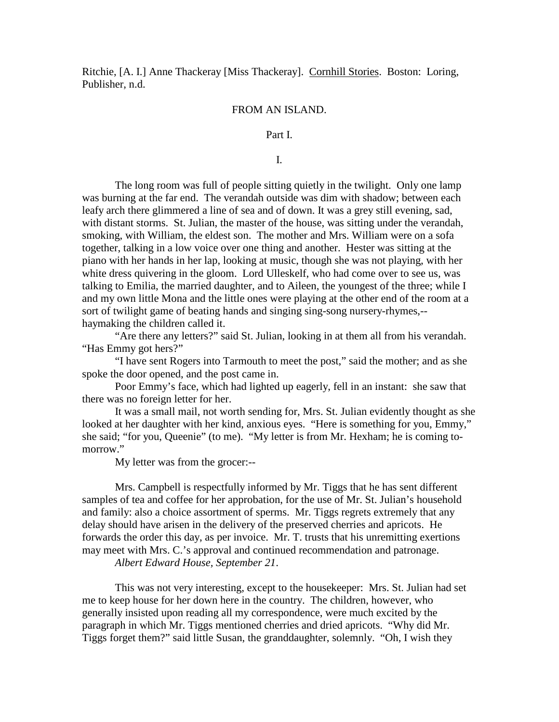Ritchie, [A. I.] Anne Thackeray [Miss Thackeray]. Cornhill Stories. Boston: Loring, Publisher, n.d.

# FROM AN ISLAND.

# Part I.

I.

 The long room was full of people sitting quietly in the twilight. Only one lamp was burning at the far end. The verandah outside was dim with shadow; between each leafy arch there glimmered a line of sea and of down. It was a grey still evening, sad, with distant storms. St. Julian, the master of the house, was sitting under the verandah, smoking, with William, the eldest son. The mother and Mrs. William were on a sofa together, talking in a low voice over one thing and another. Hester was sitting at the piano with her hands in her lap, looking at music, though she was not playing, with her white dress quivering in the gloom. Lord Ulleskelf, who had come over to see us, was talking to Emilia, the married daughter, and to Aileen, the youngest of the three; while I and my own little Mona and the little ones were playing at the other end of the room at a sort of twilight game of beating hands and singing sing-song nursery-rhymes,- haymaking the children called it.

 "Are there any letters?" said St. Julian, looking in at them all from his verandah. "Has Emmy got hers?"

 "I have sent Rogers into Tarmouth to meet the post," said the mother; and as she spoke the door opened, and the post came in.

 Poor Emmy's face, which had lighted up eagerly, fell in an instant: she saw that there was no foreign letter for her.

 It was a small mail, not worth sending for, Mrs. St. Julian evidently thought as she looked at her daughter with her kind, anxious eyes. "Here is something for you, Emmy," she said; "for you, Queenie" (to me). "My letter is from Mr. Hexham; he is coming tomorrow."

My letter was from the grocer:--

 Mrs. Campbell is respectfully informed by Mr. Tiggs that he has sent different samples of tea and coffee for her approbation, for the use of Mr. St. Julian's household and family: also a choice assortment of sperms. Mr. Tiggs regrets extremely that any delay should have arisen in the delivery of the preserved cherries and apricots. He forwards the order this day, as per invoice. Mr. T. trusts that his unremitting exertions may meet with Mrs. C.'s approval and continued recommendation and patronage.

*Albert Edward House, September 21*.

 This was not very interesting, except to the housekeeper: Mrs. St. Julian had set me to keep house for her down here in the country. The children, however, who generally insisted upon reading all my correspondence, were much excited by the paragraph in which Mr. Tiggs mentioned cherries and dried apricots. "Why did Mr. Tiggs forget them?" said little Susan, the granddaughter, solemnly. "Oh, I wish they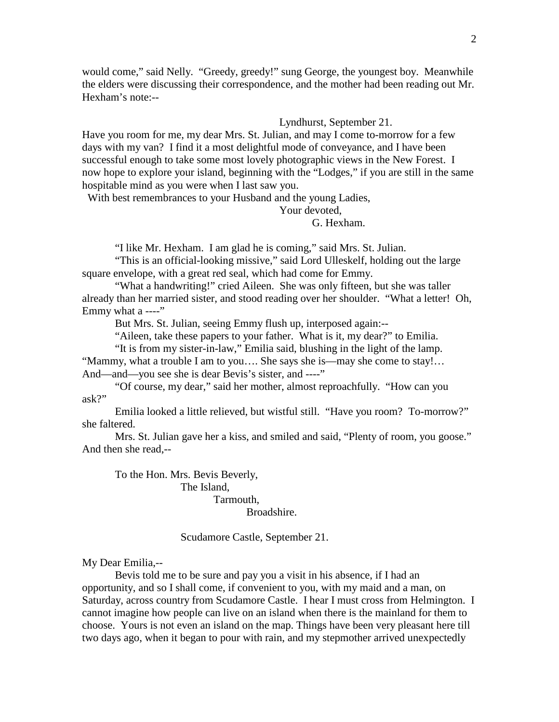would come," said Nelly. "Greedy, greedy!" sung George, the youngest boy. Meanwhile the elders were discussing their correspondence, and the mother had been reading out Mr. Hexham's note:--

# Lyndhurst, September 21.

Have you room for me, my dear Mrs. St. Julian, and may I come to-morrow for a few days with my van? I find it a most delightful mode of conveyance, and I have been successful enough to take some most lovely photographic views in the New Forest. I now hope to explore your island, beginning with the "Lodges," if you are still in the same hospitable mind as you were when I last saw you.

With best remembrances to your Husband and the young Ladies,

Your devoted,

G. Hexham.

"I like Mr. Hexham. I am glad he is coming," said Mrs. St. Julian.

 "This is an official-looking missive," said Lord Ulleskelf, holding out the large square envelope, with a great red seal, which had come for Emmy.

 "What a handwriting!" cried Aileen. She was only fifteen, but she was taller already than her married sister, and stood reading over her shoulder. "What a letter! Oh, Emmy what  $a$  ----"

But Mrs. St. Julian, seeing Emmy flush up, interposed again:--

"Aileen, take these papers to your father. What is it, my dear?" to Emilia.

"It is from my sister-in-law," Emilia said, blushing in the light of the lamp.

"Mammy, what a trouble I am to you…. She says she is—may she come to stay!… And—and—you see she is dear Bevis's sister, and ----"

 "Of course, my dear," said her mother, almost reproachfully. "How can you ask?"

 Emilia looked a little relieved, but wistful still. "Have you room? To-morrow?" she faltered.

Mrs. St. Julian gave her a kiss, and smiled and said, "Plenty of room, you goose." And then she read,--

To the Hon. Mrs. Bevis Beverly,

 The Island, Tarmouth, Broadshire.

Scudamore Castle, September 21.

My Dear Emilia,--

 Bevis told me to be sure and pay you a visit in his absence, if I had an opportunity, and so I shall come, if convenient to you, with my maid and a man, on Saturday, across country from Scudamore Castle. I hear I must cross from Helmington. I cannot imagine how people can live on an island when there is the mainland for them to choose. Yours is not even an island on the map. Things have been very pleasant here till two days ago, when it began to pour with rain, and my stepmother arrived unexpectedly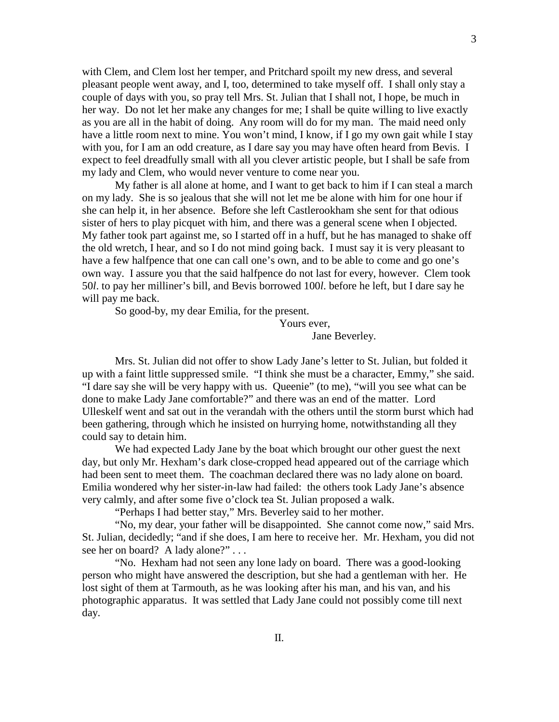with Clem, and Clem lost her temper, and Pritchard spoilt my new dress, and several pleasant people went away, and I, too, determined to take myself off. I shall only stay a couple of days with you, so pray tell Mrs. St. Julian that I shall not, I hope, be much in her way. Do not let her make any changes for me; I shall be quite willing to live exactly as you are all in the habit of doing. Any room will do for my man. The maid need only have a little room next to mine. You won't mind, I know, if I go my own gait while I stay with you, for I am an odd creature, as I dare say you may have often heard from Bevis. I expect to feel dreadfully small with all you clever artistic people, but I shall be safe from my lady and Clem, who would never venture to come near you.

 My father is all alone at home, and I want to get back to him if I can steal a march on my lady. She is so jealous that she will not let me be alone with him for one hour if she can help it, in her absence. Before she left Castlerookham she sent for that odious sister of hers to play picquet with him, and there was a general scene when I objected. My father took part against me, so I started off in a huff, but he has managed to shake off the old wretch, I hear, and so I do not mind going back. I must say it is very pleasant to have a few halfpence that one can call one's own, and to be able to come and go one's own way. I assure you that the said halfpence do not last for every, however. Clem took 50*l*. to pay her milliner's bill, and Bevis borrowed 100*l*. before he left, but I dare say he will pay me back.

So good-by, my dear Emilia, for the present.

Yours ever,

Jane Beverley.

 Mrs. St. Julian did not offer to show Lady Jane's letter to St. Julian, but folded it up with a faint little suppressed smile. "I think she must be a character, Emmy," she said. "I dare say she will be very happy with us. Queenie" (to me), "will you see what can be done to make Lady Jane comfortable?" and there was an end of the matter. Lord Ulleskelf went and sat out in the verandah with the others until the storm burst which had been gathering, through which he insisted on hurrying home, notwithstanding all they could say to detain him.

 We had expected Lady Jane by the boat which brought our other guest the next day, but only Mr. Hexham's dark close-cropped head appeared out of the carriage which had been sent to meet them. The coachman declared there was no lady alone on board. Emilia wondered why her sister-in-law had failed: the others took Lady Jane's absence very calmly, and after some five o'clock tea St. Julian proposed a walk.

"Perhaps I had better stay," Mrs. Beverley said to her mother.

 "No, my dear, your father will be disappointed. She cannot come now," said Mrs. St. Julian, decidedly; "and if she does, I am here to receive her. Mr. Hexham, you did not see her on board? A lady alone?" . . .

 "No. Hexham had not seen any lone lady on board. There was a good-looking person who might have answered the description, but she had a gentleman with her. He lost sight of them at Tarmouth, as he was looking after his man, and his van, and his photographic apparatus. It was settled that Lady Jane could not possibly come till next day.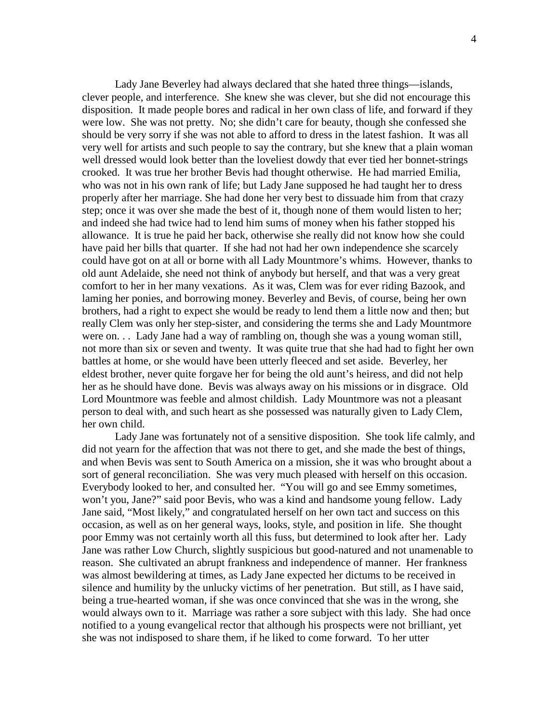Lady Jane Beverley had always declared that she hated three things—islands, clever people, and interference. She knew she was clever, but she did not encourage this disposition. It made people bores and radical in her own class of life, and forward if they were low. She was not pretty. No; she didn't care for beauty, though she confessed she should be very sorry if she was not able to afford to dress in the latest fashion. It was all very well for artists and such people to say the contrary, but she knew that a plain woman well dressed would look better than the loveliest dowdy that ever tied her bonnet-strings crooked. It was true her brother Bevis had thought otherwise. He had married Emilia, who was not in his own rank of life; but Lady Jane supposed he had taught her to dress properly after her marriage. She had done her very best to dissuade him from that crazy step; once it was over she made the best of it, though none of them would listen to her; and indeed she had twice had to lend him sums of money when his father stopped his allowance. It is true he paid her back, otherwise she really did not know how she could have paid her bills that quarter. If she had not had her own independence she scarcely could have got on at all or borne with all Lady Mountmore's whims. However, thanks to old aunt Adelaide, she need not think of anybody but herself, and that was a very great comfort to her in her many vexations. As it was, Clem was for ever riding Bazook, and laming her ponies, and borrowing money. Beverley and Bevis, of course, being her own brothers, had a right to expect she would be ready to lend them a little now and then; but really Clem was only her step-sister, and considering the terms she and Lady Mountmore were on. . . Lady Jane had a way of rambling on, though she was a young woman still, not more than six or seven and twenty. It was quite true that she had had to fight her own battles at home, or she would have been utterly fleeced and set aside. Beverley, her eldest brother, never quite forgave her for being the old aunt's heiress, and did not help her as he should have done. Bevis was always away on his missions or in disgrace. Old Lord Mountmore was feeble and almost childish. Lady Mountmore was not a pleasant person to deal with, and such heart as she possessed was naturally given to Lady Clem, her own child.

 Lady Jane was fortunately not of a sensitive disposition. She took life calmly, and did not yearn for the affection that was not there to get, and she made the best of things, and when Bevis was sent to South America on a mission, she it was who brought about a sort of general reconciliation. She was very much pleased with herself on this occasion. Everybody looked to her, and consulted her. "You will go and see Emmy sometimes, won't you, Jane?" said poor Bevis, who was a kind and handsome young fellow. Lady Jane said, "Most likely," and congratulated herself on her own tact and success on this occasion, as well as on her general ways, looks, style, and position in life. She thought poor Emmy was not certainly worth all this fuss, but determined to look after her. Lady Jane was rather Low Church, slightly suspicious but good-natured and not unamenable to reason. She cultivated an abrupt frankness and independence of manner. Her frankness was almost bewildering at times, as Lady Jane expected her dictums to be received in silence and humility by the unlucky victims of her penetration. But still, as I have said, being a true-hearted woman, if she was once convinced that she was in the wrong, she would always own to it. Marriage was rather a sore subject with this lady. She had once notified to a young evangelical rector that although his prospects were not brilliant, yet she was not indisposed to share them, if he liked to come forward. To her utter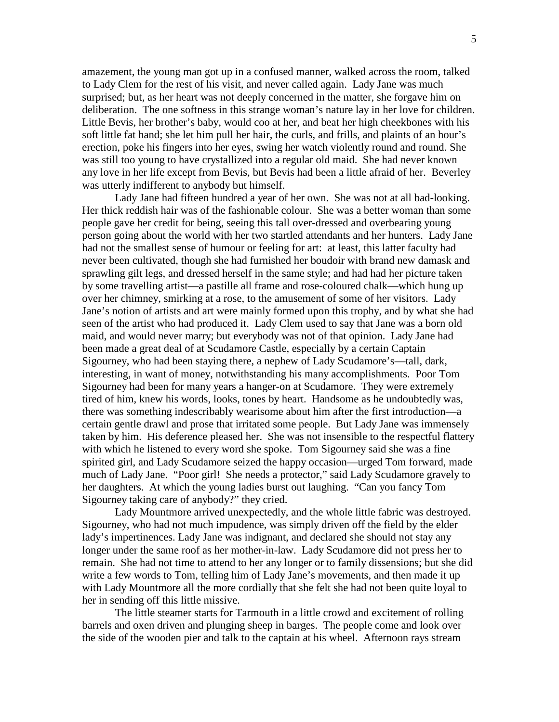amazement, the young man got up in a confused manner, walked across the room, talked to Lady Clem for the rest of his visit, and never called again. Lady Jane was much surprised; but, as her heart was not deeply concerned in the matter, she forgave him on deliberation. The one softness in this strange woman's nature lay in her love for children. Little Bevis, her brother's baby, would coo at her, and beat her high cheekbones with his soft little fat hand; she let him pull her hair, the curls, and frills, and plaints of an hour's erection, poke his fingers into her eyes, swing her watch violently round and round. She was still too young to have crystallized into a regular old maid. She had never known any love in her life except from Bevis, but Bevis had been a little afraid of her. Beverley was utterly indifferent to anybody but himself.

 Lady Jane had fifteen hundred a year of her own. She was not at all bad-looking. Her thick reddish hair was of the fashionable colour. She was a better woman than some people gave her credit for being, seeing this tall over-dressed and overbearing young person going about the world with her two startled attendants and her hunters. Lady Jane had not the smallest sense of humour or feeling for art: at least, this latter faculty had never been cultivated, though she had furnished her boudoir with brand new damask and sprawling gilt legs, and dressed herself in the same style; and had had her picture taken by some travelling artist—a pastille all frame and rose-coloured chalk—which hung up over her chimney, smirking at a rose, to the amusement of some of her visitors. Lady Jane's notion of artists and art were mainly formed upon this trophy, and by what she had seen of the artist who had produced it. Lady Clem used to say that Jane was a born old maid, and would never marry; but everybody was not of that opinion. Lady Jane had been made a great deal of at Scudamore Castle, especially by a certain Captain Sigourney, who had been staying there, a nephew of Lady Scudamore's—tall, dark, interesting, in want of money, notwithstanding his many accomplishments. Poor Tom Sigourney had been for many years a hanger-on at Scudamore. They were extremely tired of him, knew his words, looks, tones by heart. Handsome as he undoubtedly was, there was something indescribably wearisome about him after the first introduction—a certain gentle drawl and prose that irritated some people. But Lady Jane was immensely taken by him. His deference pleased her. She was not insensible to the respectful flattery with which he listened to every word she spoke. Tom Sigourney said she was a fine spirited girl, and Lady Scudamore seized the happy occasion—urged Tom forward, made much of Lady Jane. "Poor girl! She needs a protector," said Lady Scudamore gravely to her daughters. At which the young ladies burst out laughing. "Can you fancy Tom Sigourney taking care of anybody?" they cried.

 Lady Mountmore arrived unexpectedly, and the whole little fabric was destroyed. Sigourney, who had not much impudence, was simply driven off the field by the elder lady's impertinences. Lady Jane was indignant, and declared she should not stay any longer under the same roof as her mother-in-law. Lady Scudamore did not press her to remain. She had not time to attend to her any longer or to family dissensions; but she did write a few words to Tom, telling him of Lady Jane's movements, and then made it up with Lady Mountmore all the more cordially that she felt she had not been quite loyal to her in sending off this little missive.

 The little steamer starts for Tarmouth in a little crowd and excitement of rolling barrels and oxen driven and plunging sheep in barges. The people come and look over the side of the wooden pier and talk to the captain at his wheel. Afternoon rays stream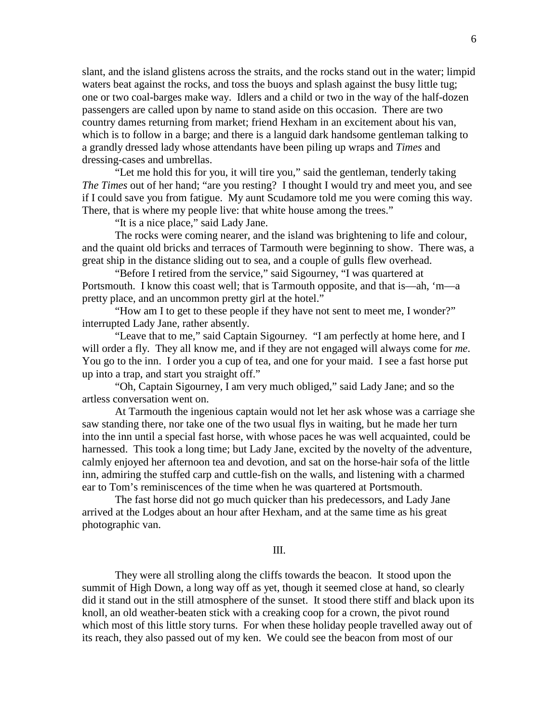slant, and the island glistens across the straits, and the rocks stand out in the water; limpid waters beat against the rocks, and toss the buoys and splash against the busy little tug; one or two coal-barges make way. Idlers and a child or two in the way of the half-dozen passengers are called upon by name to stand aside on this occasion. There are two country dames returning from market; friend Hexham in an excitement about his van, which is to follow in a barge; and there is a languid dark handsome gentleman talking to a grandly dressed lady whose attendants have been piling up wraps and *Times* and dressing-cases and umbrellas.

 "Let me hold this for you, it will tire you," said the gentleman, tenderly taking *The Times* out of her hand; "are you resting? I thought I would try and meet you, and see if I could save you from fatigue. My aunt Scudamore told me you were coming this way. There, that is where my people live: that white house among the trees."

"It is a nice place," said Lady Jane.

 The rocks were coming nearer, and the island was brightening to life and colour, and the quaint old bricks and terraces of Tarmouth were beginning to show. There was, a great ship in the distance sliding out to sea, and a couple of gulls flew overhead.

 "Before I retired from the service," said Sigourney, "I was quartered at Portsmouth. I know this coast well; that is Tarmouth opposite, and that is—ah, 'm—a pretty place, and an uncommon pretty girl at the hotel."

 "How am I to get to these people if they have not sent to meet me, I wonder?" interrupted Lady Jane, rather absently.

 "Leave that to me," said Captain Sigourney. "I am perfectly at home here, and I will order a fly. They all know me, and if they are not engaged will always come for *me*. You go to the inn. I order you a cup of tea, and one for your maid. I see a fast horse put up into a trap, and start you straight off."

 "Oh, Captain Sigourney, I am very much obliged," said Lady Jane; and so the artless conversation went on.

 At Tarmouth the ingenious captain would not let her ask whose was a carriage she saw standing there, nor take one of the two usual flys in waiting, but he made her turn into the inn until a special fast horse, with whose paces he was well acquainted, could be harnessed. This took a long time; but Lady Jane, excited by the novelty of the adventure, calmly enjoyed her afternoon tea and devotion, and sat on the horse-hair sofa of the little inn, admiring the stuffed carp and cuttle-fish on the walls, and listening with a charmed ear to Tom's reminiscences of the time when he was quartered at Portsmouth.

 The fast horse did not go much quicker than his predecessors, and Lady Jane arrived at the Lodges about an hour after Hexham, and at the same time as his great photographic van.

#### III.

They were all strolling along the cliffs towards the beacon. It stood upon the summit of High Down, a long way off as yet, though it seemed close at hand, so clearly did it stand out in the still atmosphere of the sunset. It stood there stiff and black upon its knoll, an old weather-beaten stick with a creaking coop for a crown, the pivot round which most of this little story turns. For when these holiday people travelled away out of its reach, they also passed out of my ken. We could see the beacon from most of our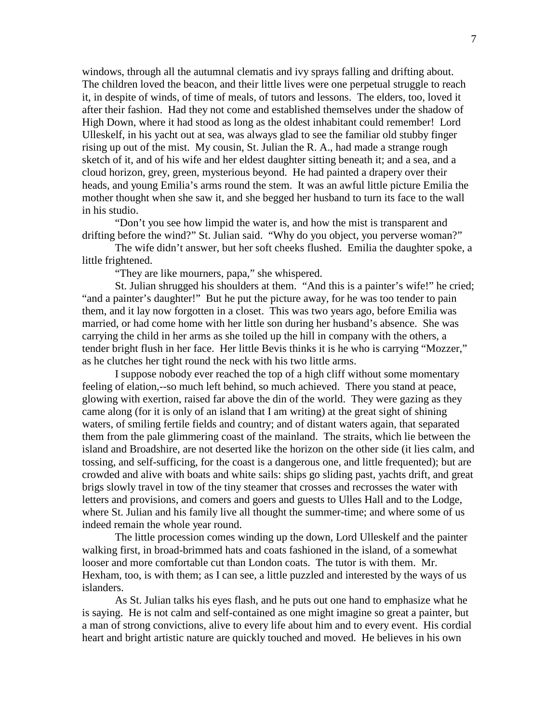windows, through all the autumnal clematis and ivy sprays falling and drifting about. The children loved the beacon, and their little lives were one perpetual struggle to reach it, in despite of winds, of time of meals, of tutors and lessons. The elders, too, loved it after their fashion. Had they not come and established themselves under the shadow of High Down, where it had stood as long as the oldest inhabitant could remember! Lord Ulleskelf, in his yacht out at sea, was always glad to see the familiar old stubby finger rising up out of the mist. My cousin, St. Julian the R. A., had made a strange rough sketch of it, and of his wife and her eldest daughter sitting beneath it; and a sea, and a cloud horizon, grey, green, mysterious beyond. He had painted a drapery over their heads, and young Emilia's arms round the stem. It was an awful little picture Emilia the mother thought when she saw it, and she begged her husband to turn its face to the wall in his studio.

"Don't you see how limpid the water is, and how the mist is transparent and drifting before the wind?" St. Julian said. "Why do you object, you perverse woman?"

The wife didn't answer, but her soft cheeks flushed. Emilia the daughter spoke, a little frightened.

"They are like mourners, papa," she whispered.

St. Julian shrugged his shoulders at them. "And this is a painter's wife!" he cried; "and a painter's daughter!" But he put the picture away, for he was too tender to pain them, and it lay now forgotten in a closet. This was two years ago, before Emilia was married, or had come home with her little son during her husband's absence. She was carrying the child in her arms as she toiled up the hill in company with the others, a tender bright flush in her face. Her little Bevis thinks it is he who is carrying "Mozzer," as he clutches her tight round the neck with his two little arms.

I suppose nobody ever reached the top of a high cliff without some momentary feeling of elation,--so much left behind, so much achieved. There you stand at peace, glowing with exertion, raised far above the din of the world. They were gazing as they came along (for it is only of an island that I am writing) at the great sight of shining waters, of smiling fertile fields and country; and of distant waters again, that separated them from the pale glimmering coast of the mainland. The straits, which lie between the island and Broadshire, are not deserted like the horizon on the other side (it lies calm, and tossing, and self-sufficing, for the coast is a dangerous one, and little frequented); but are crowded and alive with boats and white sails: ships go sliding past, yachts drift, and great brigs slowly travel in tow of the tiny steamer that crosses and recrosses the water with letters and provisions, and comers and goers and guests to Ulles Hall and to the Lodge, where St. Julian and his family live all thought the summer-time; and where some of us indeed remain the whole year round.

The little procession comes winding up the down, Lord Ulleskelf and the painter walking first, in broad-brimmed hats and coats fashioned in the island, of a somewhat looser and more comfortable cut than London coats. The tutor is with them. Mr. Hexham, too, is with them; as I can see, a little puzzled and interested by the ways of us islanders.

As St. Julian talks his eyes flash, and he puts out one hand to emphasize what he is saying. He is not calm and self-contained as one might imagine so great a painter, but a man of strong convictions, alive to every life about him and to every event. His cordial heart and bright artistic nature are quickly touched and moved. He believes in his own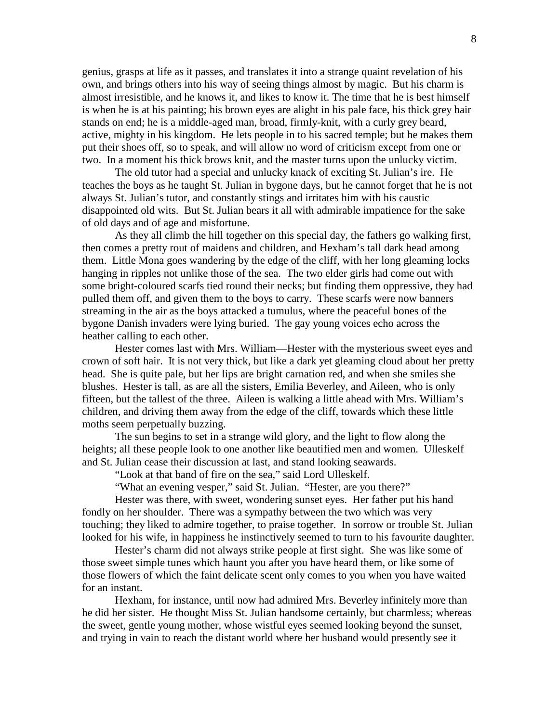genius, grasps at life as it passes, and translates it into a strange quaint revelation of his own, and brings others into his way of seeing things almost by magic. But his charm is almost irresistible, and he knows it, and likes to know it. The time that he is best himself is when he is at his painting; his brown eyes are alight in his pale face, his thick grey hair stands on end; he is a middle-aged man, broad, firmly-knit, with a curly grey beard, active, mighty in his kingdom. He lets people in to his sacred temple; but he makes them put their shoes off, so to speak, and will allow no word of criticism except from one or two. In a moment his thick brows knit, and the master turns upon the unlucky victim.

The old tutor had a special and unlucky knack of exciting St. Julian's ire. He teaches the boys as he taught St. Julian in bygone days, but he cannot forget that he is not always St. Julian's tutor, and constantly stings and irritates him with his caustic disappointed old wits. But St. Julian bears it all with admirable impatience for the sake of old days and of age and misfortune.

As they all climb the hill together on this special day, the fathers go walking first, then comes a pretty rout of maidens and children, and Hexham's tall dark head among them. Little Mona goes wandering by the edge of the cliff, with her long gleaming locks hanging in ripples not unlike those of the sea. The two elder girls had come out with some bright-coloured scarfs tied round their necks; but finding them oppressive, they had pulled them off, and given them to the boys to carry. These scarfs were now banners streaming in the air as the boys attacked a tumulus, where the peaceful bones of the bygone Danish invaders were lying buried. The gay young voices echo across the heather calling to each other.

Hester comes last with Mrs. William—Hester with the mysterious sweet eyes and crown of soft hair. It is not very thick, but like a dark yet gleaming cloud about her pretty head. She is quite pale, but her lips are bright carnation red, and when she smiles she blushes. Hester is tall, as are all the sisters, Emilia Beverley, and Aileen, who is only fifteen, but the tallest of the three. Aileen is walking a little ahead with Mrs. William's children, and driving them away from the edge of the cliff, towards which these little moths seem perpetually buzzing.

The sun begins to set in a strange wild glory, and the light to flow along the heights; all these people look to one another like beautified men and women. Ulleskelf and St. Julian cease their discussion at last, and stand looking seawards.

"Look at that band of fire on the sea," said Lord Ulleskelf.

"What an evening vesper," said St. Julian. "Hester, are you there?"

Hester was there, with sweet, wondering sunset eyes. Her father put his hand fondly on her shoulder. There was a sympathy between the two which was very touching; they liked to admire together, to praise together. In sorrow or trouble St. Julian looked for his wife, in happiness he instinctively seemed to turn to his favourite daughter.

Hester's charm did not always strike people at first sight. She was like some of those sweet simple tunes which haunt you after you have heard them, or like some of those flowers of which the faint delicate scent only comes to you when you have waited for an instant.

Hexham, for instance, until now had admired Mrs. Beverley infinitely more than he did her sister. He thought Miss St. Julian handsome certainly, but charmless; whereas the sweet, gentle young mother, whose wistful eyes seemed looking beyond the sunset, and trying in vain to reach the distant world where her husband would presently see it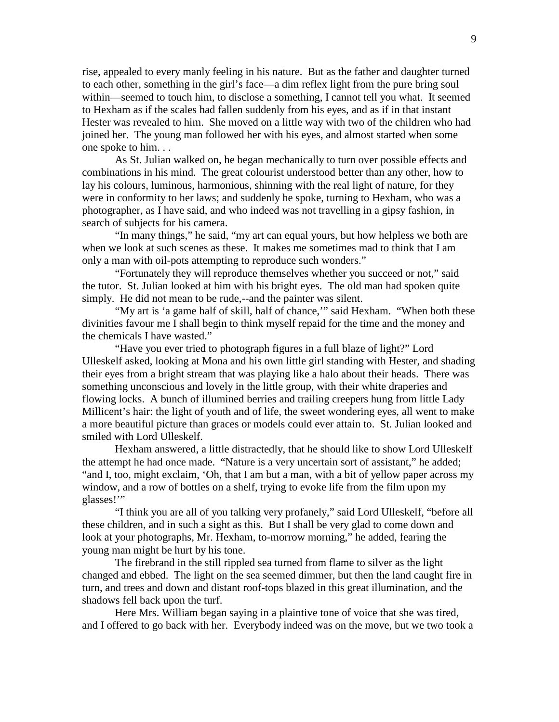rise, appealed to every manly feeling in his nature. But as the father and daughter turned to each other, something in the girl's face—a dim reflex light from the pure bring soul within—seemed to touch him, to disclose a something, I cannot tell you what. It seemed to Hexham as if the scales had fallen suddenly from his eyes, and as if in that instant Hester was revealed to him. She moved on a little way with two of the children who had joined her. The young man followed her with his eyes, and almost started when some one spoke to him. . .

As St. Julian walked on, he began mechanically to turn over possible effects and combinations in his mind. The great colourist understood better than any other, how to lay his colours, luminous, harmonious, shinning with the real light of nature, for they were in conformity to her laws; and suddenly he spoke, turning to Hexham, who was a photographer, as I have said, and who indeed was not travelling in a gipsy fashion, in search of subjects for his camera.

"In many things," he said, "my art can equal yours, but how helpless we both are when we look at such scenes as these. It makes me sometimes mad to think that I am only a man with oil-pots attempting to reproduce such wonders."

"Fortunately they will reproduce themselves whether you succeed or not," said the tutor. St. Julian looked at him with his bright eyes. The old man had spoken quite simply. He did not mean to be rude,--and the painter was silent.

"My art is 'a game half of skill, half of chance," said Hexham. "When both these divinities favour me I shall begin to think myself repaid for the time and the money and the chemicals I have wasted."

"Have you ever tried to photograph figures in a full blaze of light?" Lord Ulleskelf asked, looking at Mona and his own little girl standing with Hester, and shading their eyes from a bright stream that was playing like a halo about their heads. There was something unconscious and lovely in the little group, with their white draperies and flowing locks. A bunch of illumined berries and trailing creepers hung from little Lady Millicent's hair: the light of youth and of life, the sweet wondering eyes, all went to make a more beautiful picture than graces or models could ever attain to. St. Julian looked and smiled with Lord Ulleskelf.

Hexham answered, a little distractedly, that he should like to show Lord Ulleskelf the attempt he had once made. "Nature is a very uncertain sort of assistant," he added; "and I, too, might exclaim, 'Oh, that I am but a man, with a bit of yellow paper across my window, and a row of bottles on a shelf, trying to evoke life from the film upon my glasses!'"

"I think you are all of you talking very profanely," said Lord Ulleskelf, "before all these children, and in such a sight as this. But I shall be very glad to come down and look at your photographs, Mr. Hexham, to-morrow morning," he added, fearing the young man might be hurt by his tone.

The firebrand in the still rippled sea turned from flame to silver as the light changed and ebbed. The light on the sea seemed dimmer, but then the land caught fire in turn, and trees and down and distant roof-tops blazed in this great illumination, and the shadows fell back upon the turf.

Here Mrs. William began saying in a plaintive tone of voice that she was tired, and I offered to go back with her. Everybody indeed was on the move, but we two took a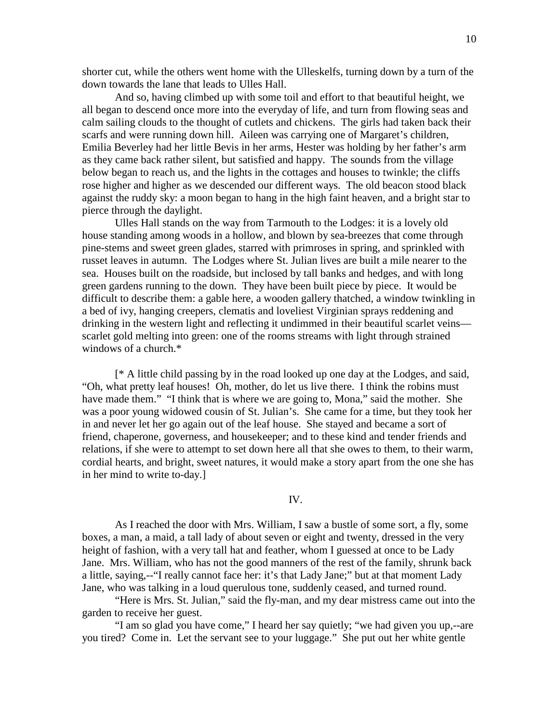shorter cut, while the others went home with the Ulleskelfs, turning down by a turn of the down towards the lane that leads to Ulles Hall.

And so, having climbed up with some toil and effort to that beautiful height, we all began to descend once more into the everyday of life, and turn from flowing seas and calm sailing clouds to the thought of cutlets and chickens. The girls had taken back their scarfs and were running down hill. Aileen was carrying one of Margaret's children, Emilia Beverley had her little Bevis in her arms, Hester was holding by her father's arm as they came back rather silent, but satisfied and happy. The sounds from the village below began to reach us, and the lights in the cottages and houses to twinkle; the cliffs rose higher and higher as we descended our different ways. The old beacon stood black against the ruddy sky: a moon began to hang in the high faint heaven, and a bright star to pierce through the daylight.

Ulles Hall stands on the way from Tarmouth to the Lodges: it is a lovely old house standing among woods in a hollow, and blown by sea-breezes that come through pine-stems and sweet green glades, starred with primroses in spring, and sprinkled with russet leaves in autumn. The Lodges where St. Julian lives are built a mile nearer to the sea. Houses built on the roadside, but inclosed by tall banks and hedges, and with long green gardens running to the down. They have been built piece by piece. It would be difficult to describe them: a gable here, a wooden gallery thatched, a window twinkling in a bed of ivy, hanging creepers, clematis and loveliest Virginian sprays reddening and drinking in the western light and reflecting it undimmed in their beautiful scarlet veins scarlet gold melting into green: one of the rooms streams with light through strained windows of a church.\*

[\* A little child passing by in the road looked up one day at the Lodges, and said, "Oh, what pretty leaf houses! Oh, mother, do let us live there. I think the robins must have made them." "I think that is where we are going to, Mona," said the mother. She was a poor young widowed cousin of St. Julian's. She came for a time, but they took her in and never let her go again out of the leaf house. She stayed and became a sort of friend, chaperone, governess, and housekeeper; and to these kind and tender friends and relations, if she were to attempt to set down here all that she owes to them, to their warm, cordial hearts, and bright, sweet natures, it would make a story apart from the one she has in her mind to write to-day.]

### IV.

As I reached the door with Mrs. William, I saw a bustle of some sort, a fly, some boxes, a man, a maid, a tall lady of about seven or eight and twenty, dressed in the very height of fashion, with a very tall hat and feather, whom I guessed at once to be Lady Jane. Mrs. William, who has not the good manners of the rest of the family, shrunk back a little, saying,--"I really cannot face her: it's that Lady Jane;" but at that moment Lady Jane, who was talking in a loud querulous tone, suddenly ceased, and turned round.

 "Here is Mrs. St. Julian," said the fly-man, and my dear mistress came out into the garden to receive her guest.

 "I am so glad you have come," I heard her say quietly; "we had given you up,--are you tired? Come in. Let the servant see to your luggage." She put out her white gentle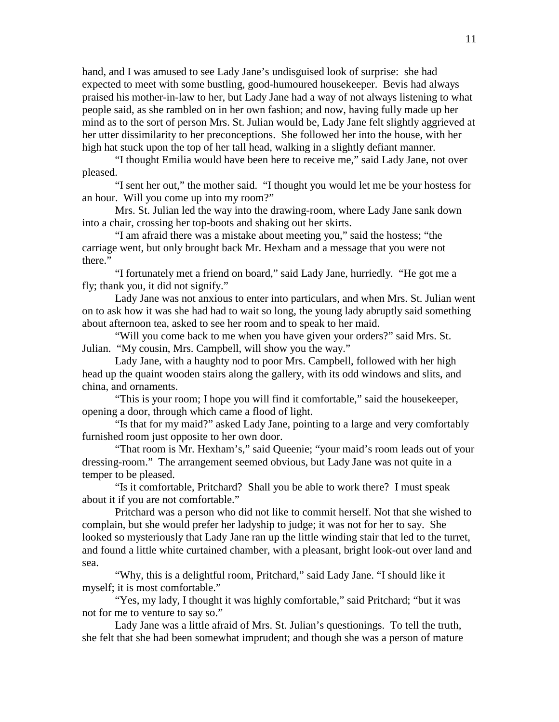hand, and I was amused to see Lady Jane's undisguised look of surprise: she had expected to meet with some bustling, good-humoured housekeeper. Bevis had always praised his mother-in-law to her, but Lady Jane had a way of not always listening to what people said, as she rambled on in her own fashion; and now, having fully made up her mind as to the sort of person Mrs. St. Julian would be, Lady Jane felt slightly aggrieved at her utter dissimilarity to her preconceptions. She followed her into the house, with her high hat stuck upon the top of her tall head, walking in a slightly defiant manner.

 "I thought Emilia would have been here to receive me," said Lady Jane, not over pleased.

 "I sent her out," the mother said. "I thought you would let me be your hostess for an hour. Will you come up into my room?"

 Mrs. St. Julian led the way into the drawing-room, where Lady Jane sank down into a chair, crossing her top-boots and shaking out her skirts.

 "I am afraid there was a mistake about meeting you," said the hostess; "the carriage went, but only brought back Mr. Hexham and a message that you were not there."

 "I fortunately met a friend on board," said Lady Jane, hurriedly. "He got me a fly; thank you, it did not signify."

 Lady Jane was not anxious to enter into particulars, and when Mrs. St. Julian went on to ask how it was she had had to wait so long, the young lady abruptly said something about afternoon tea, asked to see her room and to speak to her maid.

 "Will you come back to me when you have given your orders?" said Mrs. St. Julian. "My cousin, Mrs. Campbell, will show you the way."

 Lady Jane, with a haughty nod to poor Mrs. Campbell, followed with her high head up the quaint wooden stairs along the gallery, with its odd windows and slits, and china, and ornaments.

 "This is your room; I hope you will find it comfortable," said the housekeeper, opening a door, through which came a flood of light.

 "Is that for my maid?" asked Lady Jane, pointing to a large and very comfortably furnished room just opposite to her own door.

 "That room is Mr. Hexham's," said Queenie; "your maid's room leads out of your dressing-room." The arrangement seemed obvious, but Lady Jane was not quite in a temper to be pleased.

 "Is it comfortable, Pritchard? Shall you be able to work there? I must speak about it if you are not comfortable."

 Pritchard was a person who did not like to commit herself. Not that she wished to complain, but she would prefer her ladyship to judge; it was not for her to say. She looked so mysteriously that Lady Jane ran up the little winding stair that led to the turret, and found a little white curtained chamber, with a pleasant, bright look-out over land and sea.

 "Why, this is a delightful room, Pritchard," said Lady Jane. "I should like it myself; it is most comfortable."

 "Yes, my lady, I thought it was highly comfortable," said Pritchard; "but it was not for me to venture to say so."

 Lady Jane was a little afraid of Mrs. St. Julian's questionings. To tell the truth, she felt that she had been somewhat imprudent; and though she was a person of mature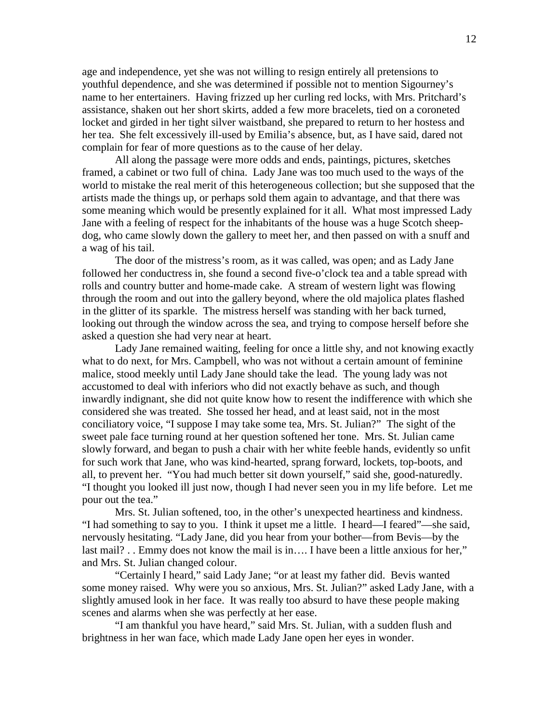age and independence, yet she was not willing to resign entirely all pretensions to youthful dependence, and she was determined if possible not to mention Sigourney's name to her entertainers. Having frizzed up her curling red locks, with Mrs. Pritchard's assistance, shaken out her short skirts, added a few more bracelets, tied on a coroneted locket and girded in her tight silver waistband, she prepared to return to her hostess and her tea. She felt excessively ill-used by Emilia's absence, but, as I have said, dared not complain for fear of more questions as to the cause of her delay.

 All along the passage were more odds and ends, paintings, pictures, sketches framed, a cabinet or two full of china. Lady Jane was too much used to the ways of the world to mistake the real merit of this heterogeneous collection; but she supposed that the artists made the things up, or perhaps sold them again to advantage, and that there was some meaning which would be presently explained for it all. What most impressed Lady Jane with a feeling of respect for the inhabitants of the house was a huge Scotch sheepdog, who came slowly down the gallery to meet her, and then passed on with a snuff and a wag of his tail.

 The door of the mistress's room, as it was called, was open; and as Lady Jane followed her conductress in, she found a second five-o'clock tea and a table spread with rolls and country butter and home-made cake. A stream of western light was flowing through the room and out into the gallery beyond, where the old majolica plates flashed in the glitter of its sparkle. The mistress herself was standing with her back turned, looking out through the window across the sea, and trying to compose herself before she asked a question she had very near at heart.

 Lady Jane remained waiting, feeling for once a little shy, and not knowing exactly what to do next, for Mrs. Campbell, who was not without a certain amount of feminine malice, stood meekly until Lady Jane should take the lead. The young lady was not accustomed to deal with inferiors who did not exactly behave as such, and though inwardly indignant, she did not quite know how to resent the indifference with which she considered she was treated. She tossed her head, and at least said, not in the most conciliatory voice, "I suppose I may take some tea, Mrs. St. Julian?" The sight of the sweet pale face turning round at her question softened her tone. Mrs. St. Julian came slowly forward, and began to push a chair with her white feeble hands, evidently so unfit for such work that Jane, who was kind-hearted, sprang forward, lockets, top-boots, and all, to prevent her. "You had much better sit down yourself," said she, good-naturedly. "I thought you looked ill just now, though I had never seen you in my life before. Let me pour out the tea."

 Mrs. St. Julian softened, too, in the other's unexpected heartiness and kindness. "I had something to say to you. I think it upset me a little. I heard—I feared"—she said, nervously hesitating. "Lady Jane, did you hear from your bother—from Bevis—by the last mail? . . Emmy does not know the mail is in.... I have been a little anxious for her," and Mrs. St. Julian changed colour.

 "Certainly I heard," said Lady Jane; "or at least my father did. Bevis wanted some money raised. Why were you so anxious, Mrs. St. Julian?" asked Lady Jane, with a slightly amused look in her face. It was really too absurd to have these people making scenes and alarms when she was perfectly at her ease.

 "I am thankful you have heard," said Mrs. St. Julian, with a sudden flush and brightness in her wan face, which made Lady Jane open her eyes in wonder.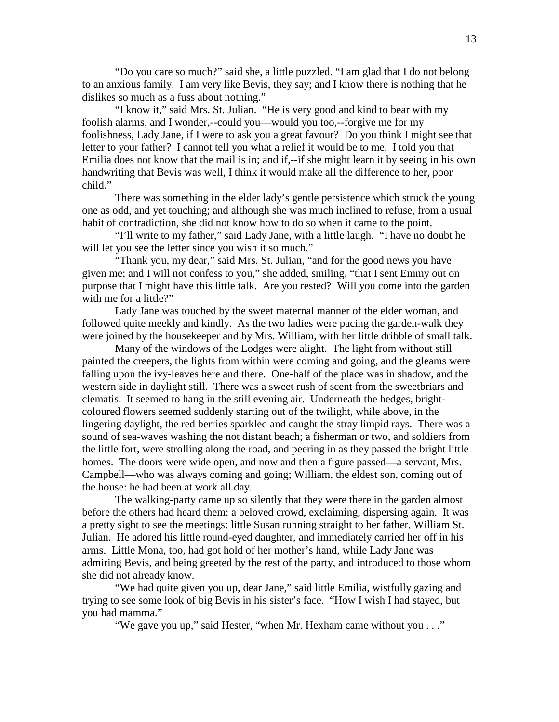"Do you care so much?" said she, a little puzzled. "I am glad that I do not belong to an anxious family. I am very like Bevis, they say; and I know there is nothing that he dislikes so much as a fuss about nothing."

 "I know it," said Mrs. St. Julian. "He is very good and kind to bear with my foolish alarms, and I wonder,--could you—would you too,--forgive me for my foolishness, Lady Jane, if I were to ask you a great favour? Do you think I might see that letter to your father? I cannot tell you what a relief it would be to me. I told you that Emilia does not know that the mail is in; and if,--if she might learn it by seeing in his own handwriting that Bevis was well, I think it would make all the difference to her, poor child."

 There was something in the elder lady's gentle persistence which struck the young one as odd, and yet touching; and although she was much inclined to refuse, from a usual habit of contradiction, she did not know how to do so when it came to the point.

 "I'll write to my father," said Lady Jane, with a little laugh. "I have no doubt he will let you see the letter since you wish it so much."

 "Thank you, my dear," said Mrs. St. Julian, "and for the good news you have given me; and I will not confess to you," she added, smiling, "that I sent Emmy out on purpose that I might have this little talk. Are you rested? Will you come into the garden with me for a little?"

 Lady Jane was touched by the sweet maternal manner of the elder woman, and followed quite meekly and kindly. As the two ladies were pacing the garden-walk they were joined by the housekeeper and by Mrs. William, with her little dribble of small talk.

 Many of the windows of the Lodges were alight. The light from without still painted the creepers, the lights from within were coming and going, and the gleams were falling upon the ivy-leaves here and there. One-half of the place was in shadow, and the western side in daylight still. There was a sweet rush of scent from the sweetbriars and clematis. It seemed to hang in the still evening air. Underneath the hedges, brightcoloured flowers seemed suddenly starting out of the twilight, while above, in the lingering daylight, the red berries sparkled and caught the stray limpid rays. There was a sound of sea-waves washing the not distant beach; a fisherman or two, and soldiers from the little fort, were strolling along the road, and peering in as they passed the bright little homes. The doors were wide open, and now and then a figure passed—a servant, Mrs. Campbell—who was always coming and going; William, the eldest son, coming out of the house: he had been at work all day.

 The walking-party came up so silently that they were there in the garden almost before the others had heard them: a beloved crowd, exclaiming, dispersing again. It was a pretty sight to see the meetings: little Susan running straight to her father, William St. Julian. He adored his little round-eyed daughter, and immediately carried her off in his arms. Little Mona, too, had got hold of her mother's hand, while Lady Jane was admiring Bevis, and being greeted by the rest of the party, and introduced to those whom she did not already know.

 "We had quite given you up, dear Jane," said little Emilia, wistfully gazing and trying to see some look of big Bevis in his sister's face. "How I wish I had stayed, but you had mamma."

"We gave you up," said Hester, "when Mr. Hexham came without you . . ."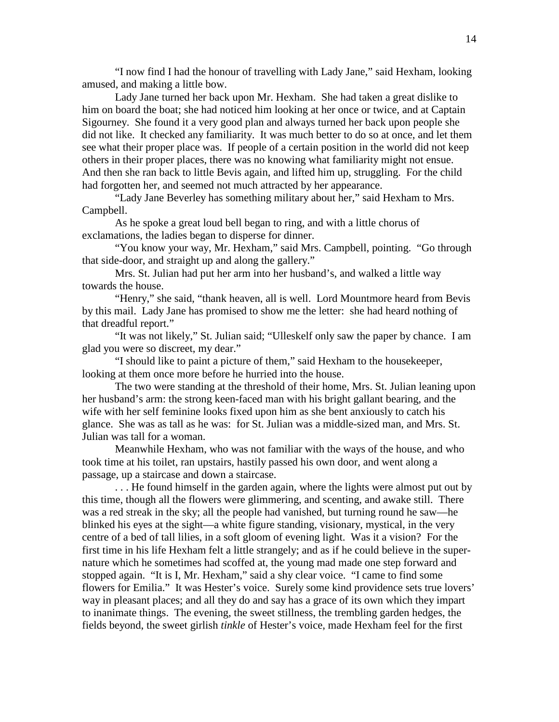"I now find I had the honour of travelling with Lady Jane," said Hexham, looking amused, and making a little bow.

 Lady Jane turned her back upon Mr. Hexham. She had taken a great dislike to him on board the boat; she had noticed him looking at her once or twice, and at Captain Sigourney. She found it a very good plan and always turned her back upon people she did not like. It checked any familiarity. It was much better to do so at once, and let them see what their proper place was. If people of a certain position in the world did not keep others in their proper places, there was no knowing what familiarity might not ensue. And then she ran back to little Bevis again, and lifted him up, struggling. For the child had forgotten her, and seemed not much attracted by her appearance.

 "Lady Jane Beverley has something military about her," said Hexham to Mrs. Campbell.

 As he spoke a great loud bell began to ring, and with a little chorus of exclamations, the ladies began to disperse for dinner.

 "You know your way, Mr. Hexham," said Mrs. Campbell, pointing. "Go through that side-door, and straight up and along the gallery."

 Mrs. St. Julian had put her arm into her husband's, and walked a little way towards the house.

 "Henry," she said, "thank heaven, all is well. Lord Mountmore heard from Bevis by this mail. Lady Jane has promised to show me the letter: she had heard nothing of that dreadful report."

 "It was not likely," St. Julian said; "Ulleskelf only saw the paper by chance. I am glad you were so discreet, my dear."

 "I should like to paint a picture of them," said Hexham to the housekeeper, looking at them once more before he hurried into the house.

 The two were standing at the threshold of their home, Mrs. St. Julian leaning upon her husband's arm: the strong keen-faced man with his bright gallant bearing, and the wife with her self feminine looks fixed upon him as she bent anxiously to catch his glance. She was as tall as he was: for St. Julian was a middle-sized man, and Mrs. St. Julian was tall for a woman.

 Meanwhile Hexham, who was not familiar with the ways of the house, and who took time at his toilet, ran upstairs, hastily passed his own door, and went along a passage, up a staircase and down a staircase.

 . . . He found himself in the garden again, where the lights were almost put out by this time, though all the flowers were glimmering, and scenting, and awake still. There was a red streak in the sky; all the people had vanished, but turning round he saw—he blinked his eyes at the sight—a white figure standing, visionary, mystical, in the very centre of a bed of tall lilies, in a soft gloom of evening light. Was it a vision? For the first time in his life Hexham felt a little strangely; and as if he could believe in the supernature which he sometimes had scoffed at, the young mad made one step forward and stopped again. "It is I, Mr. Hexham," said a shy clear voice. "I came to find some flowers for Emilia." It was Hester's voice. Surely some kind providence sets true lovers' way in pleasant places; and all they do and say has a grace of its own which they impart to inanimate things. The evening, the sweet stillness, the trembling garden hedges, the fields beyond, the sweet girlish *tinkle* of Hester's voice, made Hexham feel for the first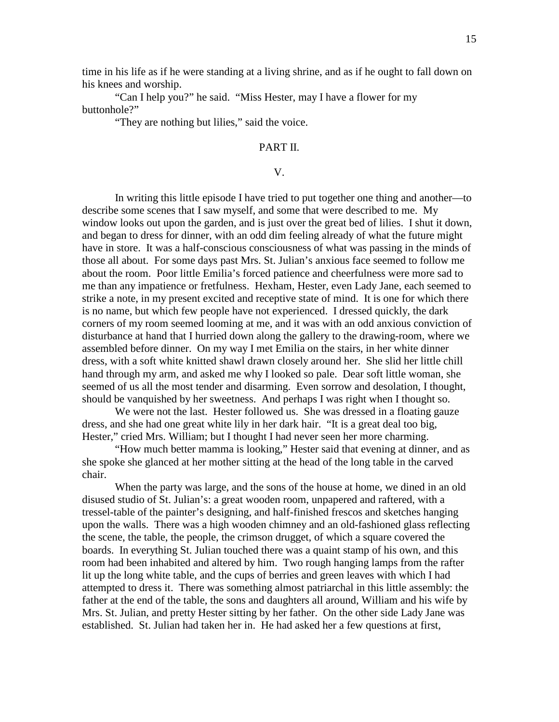time in his life as if he were standing at a living shrine, and as if he ought to fall down on his knees and worship.

 "Can I help you?" he said. "Miss Hester, may I have a flower for my buttonhole?"

"They are nothing but lilies," said the voice.

## PART II.

## V.

 In writing this little episode I have tried to put together one thing and another—to describe some scenes that I saw myself, and some that were described to me. My window looks out upon the garden, and is just over the great bed of lilies. I shut it down, and began to dress for dinner, with an odd dim feeling already of what the future might have in store. It was a half-conscious consciousness of what was passing in the minds of those all about. For some days past Mrs. St. Julian's anxious face seemed to follow me about the room. Poor little Emilia's forced patience and cheerfulness were more sad to me than any impatience or fretfulness. Hexham, Hester, even Lady Jane, each seemed to strike a note, in my present excited and receptive state of mind. It is one for which there is no name, but which few people have not experienced. I dressed quickly, the dark corners of my room seemed looming at me, and it was with an odd anxious conviction of disturbance at hand that I hurried down along the gallery to the drawing-room, where we assembled before dinner. On my way I met Emilia on the stairs, in her white dinner dress, with a soft white knitted shawl drawn closely around her. She slid her little chill hand through my arm, and asked me why I looked so pale. Dear soft little woman, she seemed of us all the most tender and disarming. Even sorrow and desolation, I thought, should be vanquished by her sweetness. And perhaps I was right when I thought so.

We were not the last. Hester followed us. She was dressed in a floating gauze dress, and she had one great white lily in her dark hair. "It is a great deal too big, Hester," cried Mrs. William; but I thought I had never seen her more charming.

 "How much better mamma is looking," Hester said that evening at dinner, and as she spoke she glanced at her mother sitting at the head of the long table in the carved chair.

 When the party was large, and the sons of the house at home, we dined in an old disused studio of St. Julian's: a great wooden room, unpapered and raftered, with a tressel-table of the painter's designing, and half-finished frescos and sketches hanging upon the walls. There was a high wooden chimney and an old-fashioned glass reflecting the scene, the table, the people, the crimson drugget, of which a square covered the boards. In everything St. Julian touched there was a quaint stamp of his own, and this room had been inhabited and altered by him. Two rough hanging lamps from the rafter lit up the long white table, and the cups of berries and green leaves with which I had attempted to dress it. There was something almost patriarchal in this little assembly: the father at the end of the table, the sons and daughters all around, William and his wife by Mrs. St. Julian, and pretty Hester sitting by her father. On the other side Lady Jane was established. St. Julian had taken her in. He had asked her a few questions at first,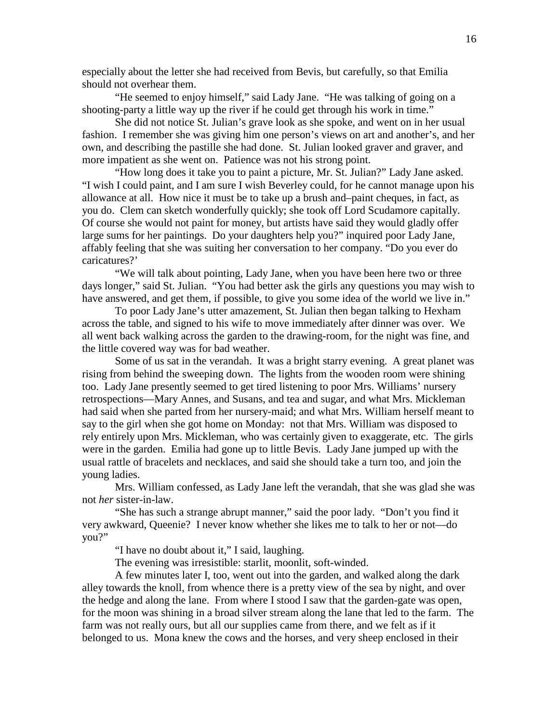especially about the letter she had received from Bevis, but carefully, so that Emilia should not overhear them.

 "He seemed to enjoy himself," said Lady Jane. "He was talking of going on a shooting-party a little way up the river if he could get through his work in time."

 She did not notice St. Julian's grave look as she spoke, and went on in her usual fashion. I remember she was giving him one person's views on art and another's, and her own, and describing the pastille she had done. St. Julian looked graver and graver, and more impatient as she went on. Patience was not his strong point.

 "How long does it take you to paint a picture, Mr. St. Julian?" Lady Jane asked. "I wish I could paint, and I am sure I wish Beverley could, for he cannot manage upon his allowance at all. How nice it must be to take up a brush and–paint cheques, in fact, as you do. Clem can sketch wonderfully quickly; she took off Lord Scudamore capitally. Of course she would not paint for money, but artists have said they would gladly offer large sums for her paintings. Do your daughters help you?" inquired poor Lady Jane, affably feeling that she was suiting her conversation to her company. "Do you ever do caricatures?'

 "We will talk about pointing, Lady Jane, when you have been here two or three days longer," said St. Julian. "You had better ask the girls any questions you may wish to have answered, and get them, if possible, to give you some idea of the world we live in."

 To poor Lady Jane's utter amazement, St. Julian then began talking to Hexham across the table, and signed to his wife to move immediately after dinner was over. We all went back walking across the garden to the drawing-room, for the night was fine, and the little covered way was for bad weather.

 Some of us sat in the verandah. It was a bright starry evening. A great planet was rising from behind the sweeping down. The lights from the wooden room were shining too. Lady Jane presently seemed to get tired listening to poor Mrs. Williams' nursery retrospections—Mary Annes, and Susans, and tea and sugar, and what Mrs. Mickleman had said when she parted from her nursery-maid; and what Mrs. William herself meant to say to the girl when she got home on Monday: not that Mrs. William was disposed to rely entirely upon Mrs. Mickleman, who was certainly given to exaggerate, etc. The girls were in the garden. Emilia had gone up to little Bevis. Lady Jane jumped up with the usual rattle of bracelets and necklaces, and said she should take a turn too, and join the young ladies.

 Mrs. William confessed, as Lady Jane left the verandah, that she was glad she was not *her* sister-in-law.

 "She has such a strange abrupt manner," said the poor lady. "Don't you find it very awkward, Queenie? I never know whether she likes me to talk to her or not—do you?"

"I have no doubt about it," I said, laughing.

The evening was irresistible: starlit, moonlit, soft-winded.

 A few minutes later I, too, went out into the garden, and walked along the dark alley towards the knoll, from whence there is a pretty view of the sea by night, and over the hedge and along the lane. From where I stood I saw that the garden-gate was open, for the moon was shining in a broad silver stream along the lane that led to the farm. The farm was not really ours, but all our supplies came from there, and we felt as if it belonged to us. Mona knew the cows and the horses, and very sheep enclosed in their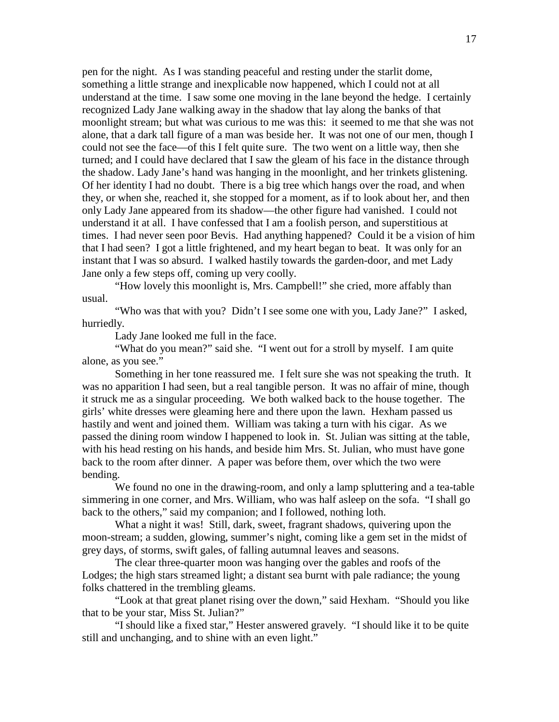pen for the night. As I was standing peaceful and resting under the starlit dome, something a little strange and inexplicable now happened, which I could not at all understand at the time. I saw some one moving in the lane beyond the hedge. I certainly recognized Lady Jane walking away in the shadow that lay along the banks of that moonlight stream; but what was curious to me was this: it seemed to me that she was not alone, that a dark tall figure of a man was beside her. It was not one of our men, though I could not see the face—of this I felt quite sure. The two went on a little way, then she turned; and I could have declared that I saw the gleam of his face in the distance through the shadow. Lady Jane's hand was hanging in the moonlight, and her trinkets glistening. Of her identity I had no doubt. There is a big tree which hangs over the road, and when they, or when she, reached it, she stopped for a moment, as if to look about her, and then only Lady Jane appeared from its shadow—the other figure had vanished. I could not understand it at all. I have confessed that I am a foolish person, and superstitious at times. I had never seen poor Bevis. Had anything happened? Could it be a vision of him that I had seen? I got a little frightened, and my heart began to beat. It was only for an instant that I was so absurd. I walked hastily towards the garden-door, and met Lady Jane only a few steps off, coming up very coolly.

 "How lovely this moonlight is, Mrs. Campbell!" she cried, more affably than usual.

 "Who was that with you? Didn't I see some one with you, Lady Jane?" I asked, hurriedly.

Lady Jane looked me full in the face.

 "What do you mean?" said she. "I went out for a stroll by myself. I am quite alone, as you see."

 Something in her tone reassured me. I felt sure she was not speaking the truth. It was no apparition I had seen, but a real tangible person. It was no affair of mine, though it struck me as a singular proceeding. We both walked back to the house together. The girls' white dresses were gleaming here and there upon the lawn. Hexham passed us hastily and went and joined them. William was taking a turn with his cigar. As we passed the dining room window I happened to look in. St. Julian was sitting at the table, with his head resting on his hands, and beside him Mrs. St. Julian, who must have gone back to the room after dinner. A paper was before them, over which the two were bending.

 We found no one in the drawing-room, and only a lamp spluttering and a tea-table simmering in one corner, and Mrs. William, who was half asleep on the sofa. "I shall go back to the others," said my companion; and I followed, nothing loth.

 What a night it was! Still, dark, sweet, fragrant shadows, quivering upon the moon-stream; a sudden, glowing, summer's night, coming like a gem set in the midst of grey days, of storms, swift gales, of falling autumnal leaves and seasons.

 The clear three-quarter moon was hanging over the gables and roofs of the Lodges; the high stars streamed light; a distant sea burnt with pale radiance; the young folks chattered in the trembling gleams.

 "Look at that great planet rising over the down," said Hexham. "Should you like that to be your star, Miss St. Julian?"

 "I should like a fixed star," Hester answered gravely. "I should like it to be quite still and unchanging, and to shine with an even light."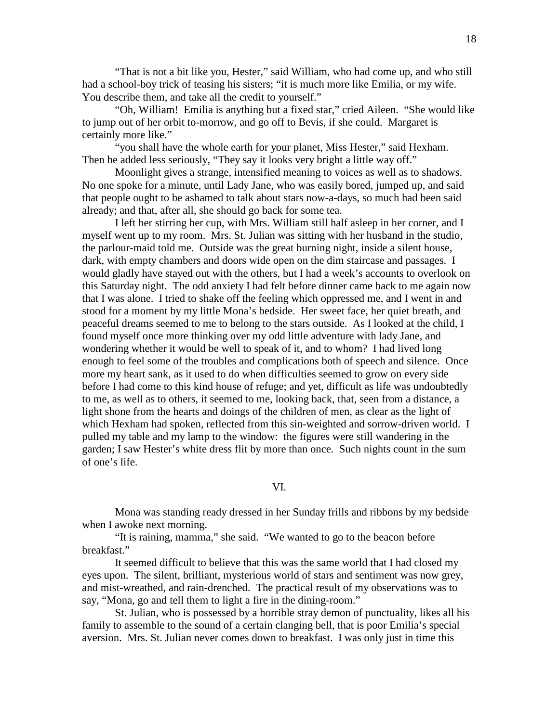"That is not a bit like you, Hester," said William, who had come up, and who still had a school-boy trick of teasing his sisters; "it is much more like Emilia, or my wife. You describe them, and take all the credit to yourself."

 "Oh, William! Emilia is anything but a fixed star," cried Aileen. "She would like to jump out of her orbit to-morrow, and go off to Bevis, if she could. Margaret is certainly more like."

 "you shall have the whole earth for your planet, Miss Hester," said Hexham. Then he added less seriously, "They say it looks very bright a little way off."

 Moonlight gives a strange, intensified meaning to voices as well as to shadows. No one spoke for a minute, until Lady Jane, who was easily bored, jumped up, and said that people ought to be ashamed to talk about stars now-a-days, so much had been said already; and that, after all, she should go back for some tea.

 I left her stirring her cup, with Mrs. William still half asleep in her corner, and I myself went up to my room. Mrs. St. Julian was sitting with her husband in the studio, the parlour-maid told me. Outside was the great burning night, inside a silent house, dark, with empty chambers and doors wide open on the dim staircase and passages. I would gladly have stayed out with the others, but I had a week's accounts to overlook on this Saturday night. The odd anxiety I had felt before dinner came back to me again now that I was alone. I tried to shake off the feeling which oppressed me, and I went in and stood for a moment by my little Mona's bedside. Her sweet face, her quiet breath, and peaceful dreams seemed to me to belong to the stars outside. As I looked at the child, I found myself once more thinking over my odd little adventure with lady Jane, and wondering whether it would be well to speak of it, and to whom? I had lived long enough to feel some of the troubles and complications both of speech and silence. Once more my heart sank, as it used to do when difficulties seemed to grow on every side before I had come to this kind house of refuge; and yet, difficult as life was undoubtedly to me, as well as to others, it seemed to me, looking back, that, seen from a distance, a light shone from the hearts and doings of the children of men, as clear as the light of which Hexham had spoken, reflected from this sin-weighted and sorrow-driven world. I pulled my table and my lamp to the window: the figures were still wandering in the garden; I saw Hester's white dress flit by more than once. Such nights count in the sum of one's life.

VI.

 Mona was standing ready dressed in her Sunday frills and ribbons by my bedside when I awoke next morning.

 "It is raining, mamma," she said. "We wanted to go to the beacon before breakfast."

 It seemed difficult to believe that this was the same world that I had closed my eyes upon. The silent, brilliant, mysterious world of stars and sentiment was now grey, and mist-wreathed, and rain-drenched. The practical result of my observations was to say, "Mona, go and tell them to light a fire in the dining-room."

 St. Julian, who is possessed by a horrible stray demon of punctuality, likes all his family to assemble to the sound of a certain clanging bell, that is poor Emilia's special aversion. Mrs. St. Julian never comes down to breakfast. I was only just in time this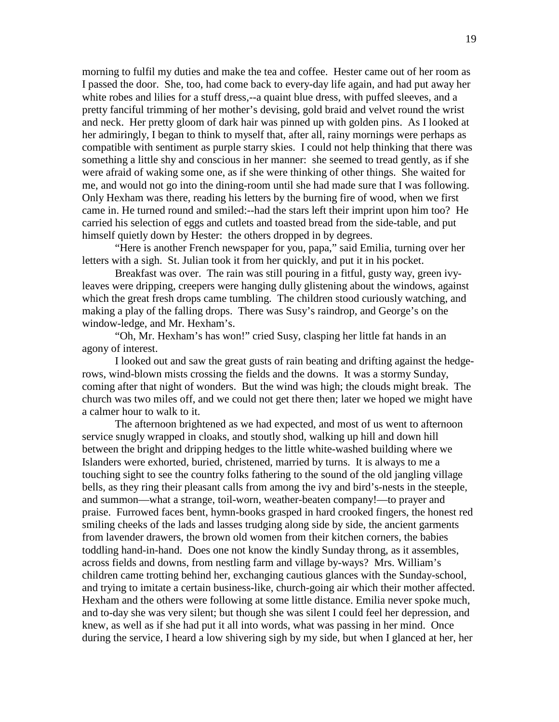morning to fulfil my duties and make the tea and coffee. Hester came out of her room as I passed the door. She, too, had come back to every-day life again, and had put away her white robes and lilies for a stuff dress,--a quaint blue dress, with puffed sleeves, and a pretty fanciful trimming of her mother's devising, gold braid and velvet round the wrist and neck. Her pretty gloom of dark hair was pinned up with golden pins. As I looked at her admiringly, I began to think to myself that, after all, rainy mornings were perhaps as compatible with sentiment as purple starry skies. I could not help thinking that there was something a little shy and conscious in her manner: she seemed to tread gently, as if she were afraid of waking some one, as if she were thinking of other things. She waited for me, and would not go into the dining-room until she had made sure that I was following. Only Hexham was there, reading his letters by the burning fire of wood, when we first came in. He turned round and smiled:--had the stars left their imprint upon him too? He carried his selection of eggs and cutlets and toasted bread from the side-table, and put himself quietly down by Hester: the others dropped in by degrees.

 "Here is another French newspaper for you, papa," said Emilia, turning over her letters with a sigh. St. Julian took it from her quickly, and put it in his pocket.

 Breakfast was over. The rain was still pouring in a fitful, gusty way, green ivyleaves were dripping, creepers were hanging dully glistening about the windows, against which the great fresh drops came tumbling. The children stood curiously watching, and making a play of the falling drops. There was Susy's raindrop, and George's on the window-ledge, and Mr. Hexham's.

 "Oh, Mr. Hexham's has won!" cried Susy, clasping her little fat hands in an agony of interest.

 I looked out and saw the great gusts of rain beating and drifting against the hedgerows, wind-blown mists crossing the fields and the downs. It was a stormy Sunday, coming after that night of wonders. But the wind was high; the clouds might break. The church was two miles off, and we could not get there then; later we hoped we might have a calmer hour to walk to it.

 The afternoon brightened as we had expected, and most of us went to afternoon service snugly wrapped in cloaks, and stoutly shod, walking up hill and down hill between the bright and dripping hedges to the little white-washed building where we Islanders were exhorted, buried, christened, married by turns. It is always to me a touching sight to see the country folks fathering to the sound of the old jangling village bells, as they ring their pleasant calls from among the ivy and bird's-nests in the steeple, and summon—what a strange, toil-worn, weather-beaten company!—to prayer and praise. Furrowed faces bent, hymn-books grasped in hard crooked fingers, the honest red smiling cheeks of the lads and lasses trudging along side by side, the ancient garments from lavender drawers, the brown old women from their kitchen corners, the babies toddling hand-in-hand. Does one not know the kindly Sunday throng, as it assembles, across fields and downs, from nestling farm and village by-ways? Mrs. William's children came trotting behind her, exchanging cautious glances with the Sunday-school, and trying to imitate a certain business-like, church-going air which their mother affected. Hexham and the others were following at some little distance. Emilia never spoke much, and to-day she was very silent; but though she was silent I could feel her depression, and knew, as well as if she had put it all into words, what was passing in her mind. Once during the service, I heard a low shivering sigh by my side, but when I glanced at her, her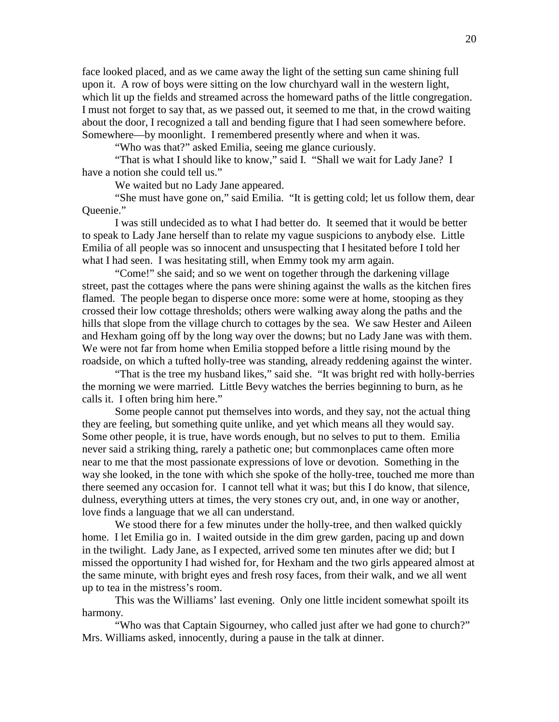face looked placed, and as we came away the light of the setting sun came shining full upon it. A row of boys were sitting on the low churchyard wall in the western light, which lit up the fields and streamed across the homeward paths of the little congregation. I must not forget to say that, as we passed out, it seemed to me that, in the crowd waiting about the door, I recognized a tall and bending figure that I had seen somewhere before. Somewhere—by moonlight. I remembered presently where and when it was.

"Who was that?" asked Emilia, seeing me glance curiously.

 "That is what I should like to know," said I. "Shall we wait for Lady Jane? I have a notion she could tell us."

We waited but no Lady Jane appeared.

 "She must have gone on," said Emilia. "It is getting cold; let us follow them, dear Queenie."

 I was still undecided as to what I had better do. It seemed that it would be better to speak to Lady Jane herself than to relate my vague suspicions to anybody else. Little Emilia of all people was so innocent and unsuspecting that I hesitated before I told her what I had seen. I was hesitating still, when Emmy took my arm again.

 "Come!" she said; and so we went on together through the darkening village street, past the cottages where the pans were shining against the walls as the kitchen fires flamed. The people began to disperse once more: some were at home, stooping as they crossed their low cottage thresholds; others were walking away along the paths and the hills that slope from the village church to cottages by the sea. We saw Hester and Aileen and Hexham going off by the long way over the downs; but no Lady Jane was with them. We were not far from home when Emilia stopped before a little rising mound by the roadside, on which a tufted holly-tree was standing, already reddening against the winter.

 "That is the tree my husband likes," said she. "It was bright red with holly-berries the morning we were married. Little Bevy watches the berries beginning to burn, as he calls it. I often bring him here."

 Some people cannot put themselves into words, and they say, not the actual thing they are feeling, but something quite unlike, and yet which means all they would say. Some other people, it is true, have words enough, but no selves to put to them. Emilia never said a striking thing, rarely a pathetic one; but commonplaces came often more near to me that the most passionate expressions of love or devotion. Something in the way she looked, in the tone with which she spoke of the holly-tree, touched me more than there seemed any occasion for. I cannot tell what it was; but this I do know, that silence, dulness, everything utters at times, the very stones cry out, and, in one way or another, love finds a language that we all can understand.

 We stood there for a few minutes under the holly-tree, and then walked quickly home. I let Emilia go in. I waited outside in the dim grew garden, pacing up and down in the twilight. Lady Jane, as I expected, arrived some ten minutes after we did; but I missed the opportunity I had wished for, for Hexham and the two girls appeared almost at the same minute, with bright eyes and fresh rosy faces, from their walk, and we all went up to tea in the mistress's room.

 This was the Williams' last evening. Only one little incident somewhat spoilt its harmony.

 "Who was that Captain Sigourney, who called just after we had gone to church?" Mrs. Williams asked, innocently, during a pause in the talk at dinner.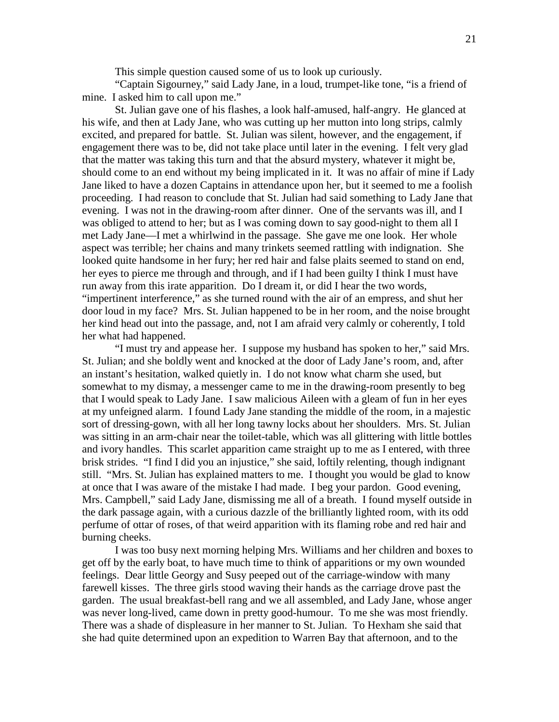This simple question caused some of us to look up curiously.

 "Captain Sigourney," said Lady Jane, in a loud, trumpet-like tone, "is a friend of mine. I asked him to call upon me."

 St. Julian gave one of his flashes, a look half-amused, half-angry. He glanced at his wife, and then at Lady Jane, who was cutting up her mutton into long strips, calmly excited, and prepared for battle. St. Julian was silent, however, and the engagement, if engagement there was to be, did not take place until later in the evening. I felt very glad that the matter was taking this turn and that the absurd mystery, whatever it might be, should come to an end without my being implicated in it. It was no affair of mine if Lady Jane liked to have a dozen Captains in attendance upon her, but it seemed to me a foolish proceeding. I had reason to conclude that St. Julian had said something to Lady Jane that evening. I was not in the drawing-room after dinner. One of the servants was ill, and I was obliged to attend to her; but as I was coming down to say good-night to them all I met Lady Jane—I met a whirlwind in the passage. She gave me one look. Her whole aspect was terrible; her chains and many trinkets seemed rattling with indignation. She looked quite handsome in her fury; her red hair and false plaits seemed to stand on end, her eyes to pierce me through and through, and if I had been guilty I think I must have run away from this irate apparition. Do I dream it, or did I hear the two words, "impertinent interference," as she turned round with the air of an empress, and shut her door loud in my face? Mrs. St. Julian happened to be in her room, and the noise brought her kind head out into the passage, and, not I am afraid very calmly or coherently, I told her what had happened.

 "I must try and appease her. I suppose my husband has spoken to her," said Mrs. St. Julian; and she boldly went and knocked at the door of Lady Jane's room, and, after an instant's hesitation, walked quietly in. I do not know what charm she used, but somewhat to my dismay, a messenger came to me in the drawing-room presently to beg that I would speak to Lady Jane. I saw malicious Aileen with a gleam of fun in her eyes at my unfeigned alarm. I found Lady Jane standing the middle of the room, in a majestic sort of dressing-gown, with all her long tawny locks about her shoulders. Mrs. St. Julian was sitting in an arm-chair near the toilet-table, which was all glittering with little bottles and ivory handles. This scarlet apparition came straight up to me as I entered, with three brisk strides. "I find I did you an injustice," she said, loftily relenting, though indignant still. "Mrs. St. Julian has explained matters to me. I thought you would be glad to know at once that I was aware of the mistake I had made. I beg your pardon. Good evening, Mrs. Campbell," said Lady Jane, dismissing me all of a breath. I found myself outside in the dark passage again, with a curious dazzle of the brilliantly lighted room, with its odd perfume of ottar of roses, of that weird apparition with its flaming robe and red hair and burning cheeks.

 I was too busy next morning helping Mrs. Williams and her children and boxes to get off by the early boat, to have much time to think of apparitions or my own wounded feelings. Dear little Georgy and Susy peeped out of the carriage-window with many farewell kisses. The three girls stood waving their hands as the carriage drove past the garden. The usual breakfast-bell rang and we all assembled, and Lady Jane, whose anger was never long-lived, came down in pretty good-humour. To me she was most friendly. There was a shade of displeasure in her manner to St. Julian. To Hexham she said that she had quite determined upon an expedition to Warren Bay that afternoon, and to the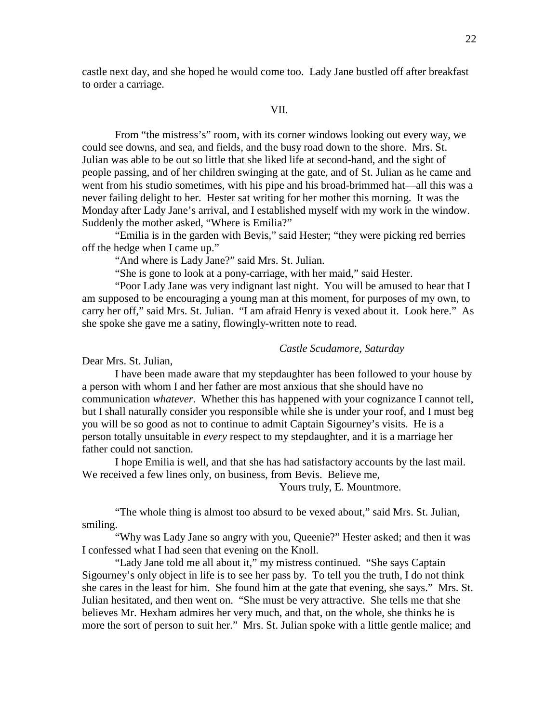castle next day, and she hoped he would come too. Lady Jane bustled off after breakfast to order a carriage.

#### VII.

 From "the mistress's" room, with its corner windows looking out every way, we could see downs, and sea, and fields, and the busy road down to the shore. Mrs. St. Julian was able to be out so little that she liked life at second-hand, and the sight of people passing, and of her children swinging at the gate, and of St. Julian as he came and went from his studio sometimes, with his pipe and his broad-brimmed hat—all this was a never failing delight to her. Hester sat writing for her mother this morning. It was the Monday after Lady Jane's arrival, and I established myself with my work in the window. Suddenly the mother asked, "Where is Emilia?"

 "Emilia is in the garden with Bevis," said Hester; "they were picking red berries off the hedge when I came up."

"And where is Lady Jane?" said Mrs. St. Julian.

"She is gone to look at a pony-carriage, with her maid," said Hester.

 "Poor Lady Jane was very indignant last night. You will be amused to hear that I am supposed to be encouraging a young man at this moment, for purposes of my own, to carry her off," said Mrs. St. Julian. "I am afraid Henry is vexed about it. Look here." As she spoke she gave me a satiny, flowingly-written note to read.

## *Castle Scudamore, Saturday*

Dear Mrs. St. Julian,

 I have been made aware that my stepdaughter has been followed to your house by a person with whom I and her father are most anxious that she should have no communication *whatever*. Whether this has happened with your cognizance I cannot tell, but I shall naturally consider you responsible while she is under your roof, and I must beg you will be so good as not to continue to admit Captain Sigourney's visits. He is a person totally unsuitable in *every* respect to my stepdaughter, and it is a marriage her father could not sanction.

 I hope Emilia is well, and that she has had satisfactory accounts by the last mail. We received a few lines only, on business, from Bevis. Believe me,

Yours truly, E. Mountmore.

 "The whole thing is almost too absurd to be vexed about," said Mrs. St. Julian, smiling.

 "Why was Lady Jane so angry with you, Queenie?" Hester asked; and then it was I confessed what I had seen that evening on the Knoll.

 "Lady Jane told me all about it," my mistress continued. "She says Captain Sigourney's only object in life is to see her pass by. To tell you the truth, I do not think she cares in the least for him. She found him at the gate that evening, she says." Mrs. St. Julian hesitated, and then went on. "She must be very attractive. She tells me that she believes Mr. Hexham admires her very much, and that, on the whole, she thinks he is more the sort of person to suit her." Mrs. St. Julian spoke with a little gentle malice; and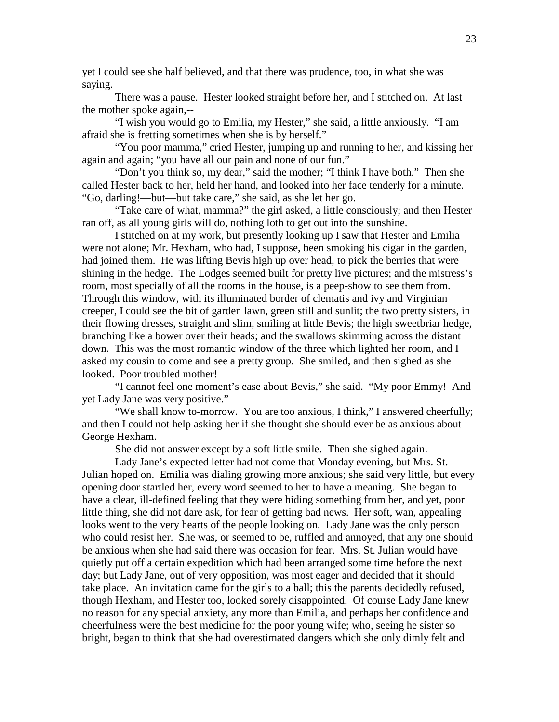yet I could see she half believed, and that there was prudence, too, in what she was saying.

 There was a pause. Hester looked straight before her, and I stitched on. At last the mother spoke again,--

 "I wish you would go to Emilia, my Hester," she said, a little anxiously. "I am afraid she is fretting sometimes when she is by herself."

 "You poor mamma," cried Hester, jumping up and running to her, and kissing her again and again; "you have all our pain and none of our fun."

 "Don't you think so, my dear," said the mother; "I think I have both." Then she called Hester back to her, held her hand, and looked into her face tenderly for a minute. "Go, darling!—but—but take care," she said, as she let her go.

 "Take care of what, mamma?" the girl asked, a little consciously; and then Hester ran off, as all young girls will do, nothing loth to get out into the sunshine.

 I stitched on at my work, but presently looking up I saw that Hester and Emilia were not alone; Mr. Hexham, who had, I suppose, been smoking his cigar in the garden, had joined them. He was lifting Bevis high up over head, to pick the berries that were shining in the hedge. The Lodges seemed built for pretty live pictures; and the mistress's room, most specially of all the rooms in the house, is a peep-show to see them from. Through this window, with its illuminated border of clematis and ivy and Virginian creeper, I could see the bit of garden lawn, green still and sunlit; the two pretty sisters, in their flowing dresses, straight and slim, smiling at little Bevis; the high sweetbriar hedge, branching like a bower over their heads; and the swallows skimming across the distant down. This was the most romantic window of the three which lighted her room, and I asked my cousin to come and see a pretty group. She smiled, and then sighed as she looked. Poor troubled mother!

 "I cannot feel one moment's ease about Bevis," she said. "My poor Emmy! And yet Lady Jane was very positive."

 "We shall know to-morrow. You are too anxious, I think," I answered cheerfully; and then I could not help asking her if she thought she should ever be as anxious about George Hexham.

She did not answer except by a soft little smile. Then she sighed again.

 Lady Jane's expected letter had not come that Monday evening, but Mrs. St. Julian hoped on. Emilia was dialing growing more anxious; she said very little, but every opening door startled her, every word seemed to her to have a meaning. She began to have a clear, ill-defined feeling that they were hiding something from her, and yet, poor little thing, she did not dare ask, for fear of getting bad news. Her soft, wan, appealing looks went to the very hearts of the people looking on. Lady Jane was the only person who could resist her. She was, or seemed to be, ruffled and annoyed, that any one should be anxious when she had said there was occasion for fear. Mrs. St. Julian would have quietly put off a certain expedition which had been arranged some time before the next day; but Lady Jane, out of very opposition, was most eager and decided that it should take place. An invitation came for the girls to a ball; this the parents decidedly refused, though Hexham, and Hester too, looked sorely disappointed. Of course Lady Jane knew no reason for any special anxiety, any more than Emilia, and perhaps her confidence and cheerfulness were the best medicine for the poor young wife; who, seeing he sister so bright, began to think that she had overestimated dangers which she only dimly felt and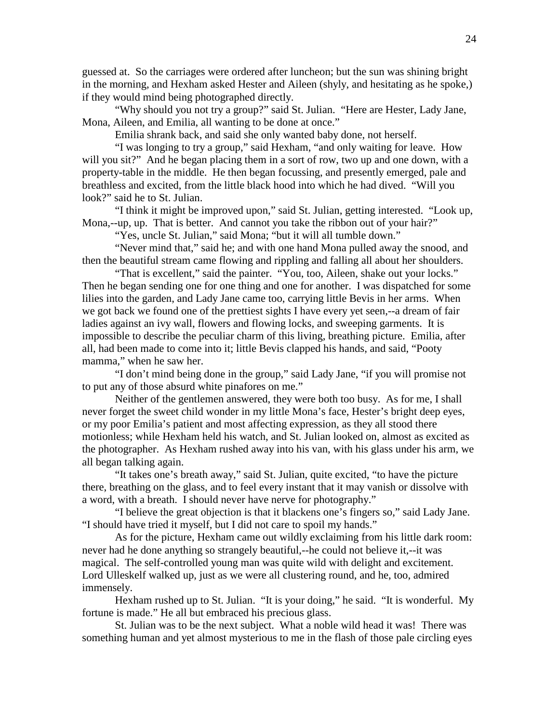guessed at. So the carriages were ordered after luncheon; but the sun was shining bright in the morning, and Hexham asked Hester and Aileen (shyly, and hesitating as he spoke,) if they would mind being photographed directly.

 "Why should you not try a group?" said St. Julian. "Here are Hester, Lady Jane, Mona, Aileen, and Emilia, all wanting to be done at once."

Emilia shrank back, and said she only wanted baby done, not herself.

 "I was longing to try a group," said Hexham, "and only waiting for leave. How will you sit?" And he began placing them in a sort of row, two up and one down, with a property-table in the middle. He then began focussing, and presently emerged, pale and breathless and excited, from the little black hood into which he had dived. "Will you look?" said he to St. Julian.

 "I think it might be improved upon," said St. Julian, getting interested. "Look up, Mona,--up, up. That is better. And cannot you take the ribbon out of your hair?"

"Yes, uncle St. Julian," said Mona; "but it will all tumble down."

 "Never mind that," said he; and with one hand Mona pulled away the snood, and then the beautiful stream came flowing and rippling and falling all about her shoulders.

 "That is excellent," said the painter. "You, too, Aileen, shake out your locks." Then he began sending one for one thing and one for another. I was dispatched for some lilies into the garden, and Lady Jane came too, carrying little Bevis in her arms. When we got back we found one of the prettiest sights I have every yet seen,--a dream of fair ladies against an ivy wall, flowers and flowing locks, and sweeping garments. It is impossible to describe the peculiar charm of this living, breathing picture. Emilia, after all, had been made to come into it; little Bevis clapped his hands, and said, "Pooty mamma," when he saw her.

 "I don't mind being done in the group," said Lady Jane, "if you will promise not to put any of those absurd white pinafores on me."

 Neither of the gentlemen answered, they were both too busy. As for me, I shall never forget the sweet child wonder in my little Mona's face, Hester's bright deep eyes, or my poor Emilia's patient and most affecting expression, as they all stood there motionless; while Hexham held his watch, and St. Julian looked on, almost as excited as the photographer. As Hexham rushed away into his van, with his glass under his arm, we all began talking again.

 "It takes one's breath away," said St. Julian, quite excited, "to have the picture there, breathing on the glass, and to feel every instant that it may vanish or dissolve with a word, with a breath. I should never have nerve for photography."

 "I believe the great objection is that it blackens one's fingers so," said Lady Jane. "I should have tried it myself, but I did not care to spoil my hands."

 As for the picture, Hexham came out wildly exclaiming from his little dark room: never had he done anything so strangely beautiful,--he could not believe it,--it was magical. The self-controlled young man was quite wild with delight and excitement. Lord Ulleskelf walked up, just as we were all clustering round, and he, too, admired immensely.

 Hexham rushed up to St. Julian. "It is your doing," he said. "It is wonderful. My fortune is made." He all but embraced his precious glass.

 St. Julian was to be the next subject. What a noble wild head it was! There was something human and yet almost mysterious to me in the flash of those pale circling eyes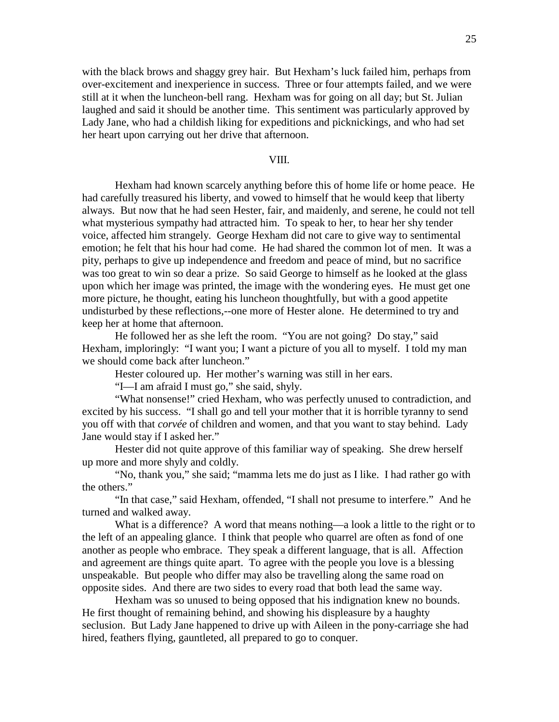with the black brows and shaggy grey hair. But Hexham's luck failed him, perhaps from over-excitement and inexperience in success. Three or four attempts failed, and we were still at it when the luncheon-bell rang. Hexham was for going on all day; but St. Julian laughed and said it should be another time. This sentiment was particularly approved by Lady Jane, who had a childish liking for expeditions and picknickings, and who had set her heart upon carrying out her drive that afternoon.

## VIII.

 Hexham had known scarcely anything before this of home life or home peace. He had carefully treasured his liberty, and vowed to himself that he would keep that liberty always. But now that he had seen Hester, fair, and maidenly, and serene, he could not tell what mysterious sympathy had attracted him. To speak to her, to hear her shy tender voice, affected him strangely. George Hexham did not care to give way to sentimental emotion; he felt that his hour had come. He had shared the common lot of men. It was a pity, perhaps to give up independence and freedom and peace of mind, but no sacrifice was too great to win so dear a prize. So said George to himself as he looked at the glass upon which her image was printed, the image with the wondering eyes. He must get one more picture, he thought, eating his luncheon thoughtfully, but with a good appetite undisturbed by these reflections,--one more of Hester alone. He determined to try and keep her at home that afternoon.

 He followed her as she left the room. "You are not going? Do stay," said Hexham, imploringly: "I want you; I want a picture of you all to myself. I told my man we should come back after luncheon."

Hester coloured up. Her mother's warning was still in her ears.

"I—I am afraid I must go," she said, shyly.

 "What nonsense!" cried Hexham, who was perfectly unused to contradiction, and excited by his success. "I shall go and tell your mother that it is horrible tyranny to send you off with that *corvée* of children and women, and that you want to stay behind. Lady Jane would stay if I asked her."

 Hester did not quite approve of this familiar way of speaking. She drew herself up more and more shyly and coldly.

 "No, thank you," she said; "mamma lets me do just as I like. I had rather go with the others."

 "In that case," said Hexham, offended, "I shall not presume to interfere." And he turned and walked away.

What is a difference? A word that means nothing—a look a little to the right or to the left of an appealing glance. I think that people who quarrel are often as fond of one another as people who embrace. They speak a different language, that is all. Affection and agreement are things quite apart. To agree with the people you love is a blessing unspeakable. But people who differ may also be travelling along the same road on opposite sides. And there are two sides to every road that both lead the same way.

 Hexham was so unused to being opposed that his indignation knew no bounds. He first thought of remaining behind, and showing his displeasure by a haughty seclusion. But Lady Jane happened to drive up with Aileen in the pony-carriage she had hired, feathers flying, gauntleted, all prepared to go to conquer.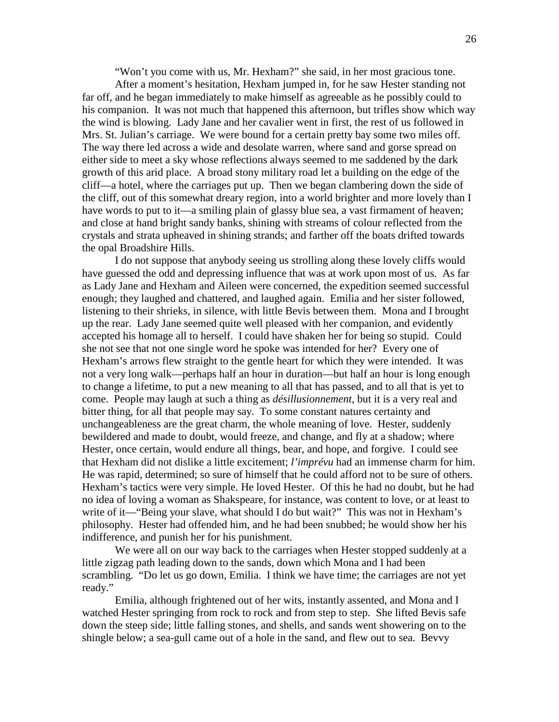"Won't you come with us, Mr. Hexham?" she said, in her most gracious tone.

 After a moment's hesitation, Hexham jumped in, for he saw Hester standing not far off, and he began immediately to make himself as agreeable as he possibly could to his companion. It was not much that happened this afternoon, but trifles show which way the wind is blowing. Lady Jane and her cavalier went in first, the rest of us followed in Mrs. St. Julian's carriage. We were bound for a certain pretty bay some two miles off. The way there led across a wide and desolate warren, where sand and gorse spread on either side to meet a sky whose reflections always seemed to me saddened by the dark growth of this arid place. A broad stony military road let a building on the edge of the cliff—a hotel, where the carriages put up. Then we began clambering down the side of the cliff, out of this somewhat dreary region, into a world brighter and more lovely than I have words to put to it—a smiling plain of glassy blue sea, a vast firmament of heaven; and close at hand bright sandy banks, shining with streams of colour reflected from the crystals and strata upheaved in shining strands; and farther off the boats drifted towards the opal Broadshire Hills.

 I do not suppose that anybody seeing us strolling along these lovely cliffs would have guessed the odd and depressing influence that was at work upon most of us. As far as Lady Jane and Hexham and Aileen were concerned, the expedition seemed successful enough; they laughed and chattered, and laughed again. Emilia and her sister followed, listening to their shrieks, in silence, with little Bevis between them. Mona and I brought up the rear. Lady Jane seemed quite well pleased with her companion, and evidently accepted his homage all to herself. I could have shaken her for being so stupid. Could she not see that not one single word he spoke was intended for her? Every one of Hexham's arrows flew straight to the gentle heart for which they were intended. It was not a very long walk—perhaps half an hour in duration—but half an hour is long enough to change a lifetime, to put a new meaning to all that has passed, and to all that is yet to come. People may laugh at such a thing as *désillusionnement*, but it is a very real and bitter thing, for all that people may say. To some constant natures certainty and unchangeableness are the great charm, the whole meaning of love. Hester, suddenly bewildered and made to doubt, would freeze, and change, and fly at a shadow; where Hester, once certain, would endure all things, bear, and hope, and forgive. I could see that Hexham did not dislike a little excitement; *l'imprévu* had an immense charm for him. He was rapid, determined; so sure of himself that he could afford not to be sure of others. Hexham's tactics were very simple. He loved Hester. Of this he had no doubt, but he had no idea of loving a woman as Shakspeare, for instance, was content to love, or at least to write of it—"Being your slave, what should I do but wait?" This was not in Hexham's philosophy. Hester had offended him, and he had been snubbed; he would show her his indifference, and punish her for his punishment.

 We were all on our way back to the carriages when Hester stopped suddenly at a little zigzag path leading down to the sands, down which Mona and I had been scrambling. "Do let us go down, Emilia. I think we have time; the carriages are not yet ready."

 Emilia, although frightened out of her wits, instantly assented, and Mona and I watched Hester springing from rock to rock and from step to step. She lifted Bevis safe down the steep side; little falling stones, and shells, and sands went showering on to the shingle below; a sea-gull came out of a hole in the sand, and flew out to sea. Bevvy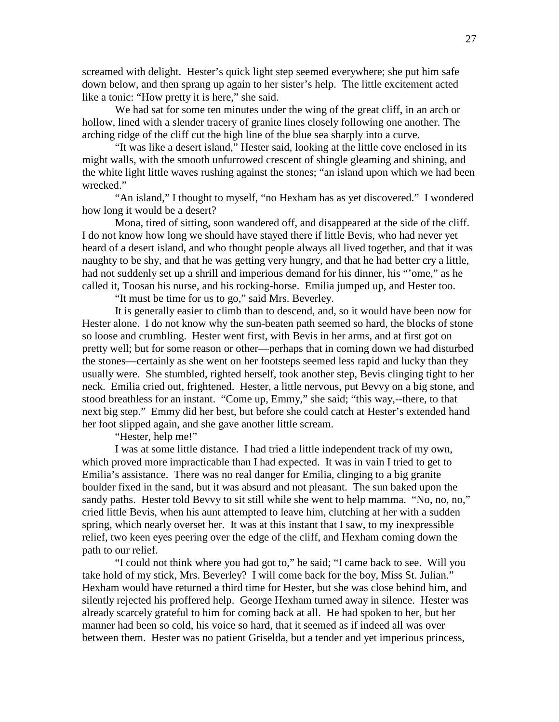screamed with delight. Hester's quick light step seemed everywhere; she put him safe down below, and then sprang up again to her sister's help. The little excitement acted like a tonic: "How pretty it is here," she said.

 We had sat for some ten minutes under the wing of the great cliff, in an arch or hollow, lined with a slender tracery of granite lines closely following one another. The arching ridge of the cliff cut the high line of the blue sea sharply into a curve.

 "It was like a desert island," Hester said, looking at the little cove enclosed in its might walls, with the smooth unfurrowed crescent of shingle gleaming and shining, and the white light little waves rushing against the stones; "an island upon which we had been wrecked."

 "An island," I thought to myself, "no Hexham has as yet discovered." I wondered how long it would be a desert?

 Mona, tired of sitting, soon wandered off, and disappeared at the side of the cliff. I do not know how long we should have stayed there if little Bevis, who had never yet heard of a desert island, and who thought people always all lived together, and that it was naughty to be shy, and that he was getting very hungry, and that he had better cry a little, had not suddenly set up a shrill and imperious demand for his dinner, his "'ome," as he called it, Toosan his nurse, and his rocking-horse. Emilia jumped up, and Hester too.

"It must be time for us to go," said Mrs. Beverley.

 It is generally easier to climb than to descend, and, so it would have been now for Hester alone. I do not know why the sun-beaten path seemed so hard, the blocks of stone so loose and crumbling. Hester went first, with Bevis in her arms, and at first got on pretty well; but for some reason or other—perhaps that in coming down we had disturbed the stones—certainly as she went on her footsteps seemed less rapid and lucky than they usually were. She stumbled, righted herself, took another step, Bevis clinging tight to her neck. Emilia cried out, frightened. Hester, a little nervous, put Bevvy on a big stone, and stood breathless for an instant. "Come up, Emmy," she said; "this way,--there, to that next big step." Emmy did her best, but before she could catch at Hester's extended hand her foot slipped again, and she gave another little scream.

"Hester, help me!"

 I was at some little distance. I had tried a little independent track of my own, which proved more impracticable than I had expected. It was in vain I tried to get to Emilia's assistance. There was no real danger for Emilia, clinging to a big granite boulder fixed in the sand, but it was absurd and not pleasant. The sun baked upon the sandy paths. Hester told Bevvy to sit still while she went to help mamma. "No, no, no," cried little Bevis, when his aunt attempted to leave him, clutching at her with a sudden spring, which nearly overset her. It was at this instant that I saw, to my inexpressible relief, two keen eyes peering over the edge of the cliff, and Hexham coming down the path to our relief.

 "I could not think where you had got to," he said; "I came back to see. Will you take hold of my stick, Mrs. Beverley? I will come back for the boy, Miss St. Julian." Hexham would have returned a third time for Hester, but she was close behind him, and silently rejected his proffered help. George Hexham turned away in silence. Hester was already scarcely grateful to him for coming back at all. He had spoken to her, but her manner had been so cold, his voice so hard, that it seemed as if indeed all was over between them. Hester was no patient Griselda, but a tender and yet imperious princess,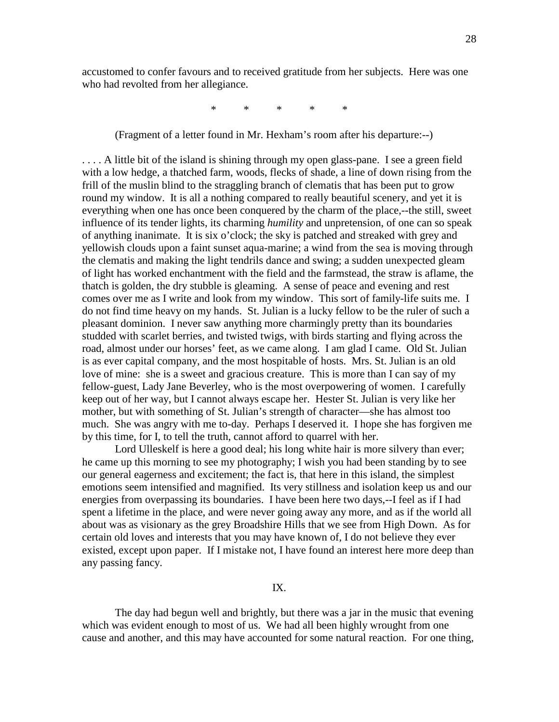accustomed to confer favours and to received gratitude from her subjects. Here was one who had revolted from her allegiance.

\* \* \* \* \*

(Fragment of a letter found in Mr. Hexham's room after his departure:--)

... A little bit of the island is shining through my open glass-pane. I see a green field with a low hedge, a thatched farm, woods, flecks of shade, a line of down rising from the frill of the muslin blind to the straggling branch of clematis that has been put to grow round my window. It is all a nothing compared to really beautiful scenery, and yet it is everything when one has once been conquered by the charm of the place,--the still, sweet influence of its tender lights, its charming *humility* and unpretension, of one can so speak of anything inanimate. It is six o'clock; the sky is patched and streaked with grey and yellowish clouds upon a faint sunset aqua-marine; a wind from the sea is moving through the clematis and making the light tendrils dance and swing; a sudden unexpected gleam of light has worked enchantment with the field and the farmstead, the straw is aflame, the thatch is golden, the dry stubble is gleaming. A sense of peace and evening and rest comes over me as I write and look from my window. This sort of family-life suits me. I do not find time heavy on my hands. St. Julian is a lucky fellow to be the ruler of such a pleasant dominion. I never saw anything more charmingly pretty than its boundaries studded with scarlet berries, and twisted twigs, with birds starting and flying across the road, almost under our horses' feet, as we came along. I am glad I came. Old St. Julian is as ever capital company, and the most hospitable of hosts. Mrs. St. Julian is an old love of mine: she is a sweet and gracious creature. This is more than I can say of my fellow-guest, Lady Jane Beverley, who is the most overpowering of women. I carefully keep out of her way, but I cannot always escape her. Hester St. Julian is very like her mother, but with something of St. Julian's strength of character—she has almost too much. She was angry with me to-day. Perhaps I deserved it. I hope she has forgiven me by this time, for I, to tell the truth, cannot afford to quarrel with her.

Lord Ulleskelf is here a good deal; his long white hair is more silvery than ever; he came up this morning to see my photography; I wish you had been standing by to see our general eagerness and excitement; the fact is, that here in this island, the simplest emotions seem intensified and magnified. Its very stillness and isolation keep us and our energies from overpassing its boundaries. I have been here two days,--I feel as if I had spent a lifetime in the place, and were never going away any more, and as if the world all about was as visionary as the grey Broadshire Hills that we see from High Down. As for certain old loves and interests that you may have known of, I do not believe they ever existed, except upon paper. If I mistake not, I have found an interest here more deep than any passing fancy.

#### IX.

 The day had begun well and brightly, but there was a jar in the music that evening which was evident enough to most of us. We had all been highly wrought from one cause and another, and this may have accounted for some natural reaction. For one thing,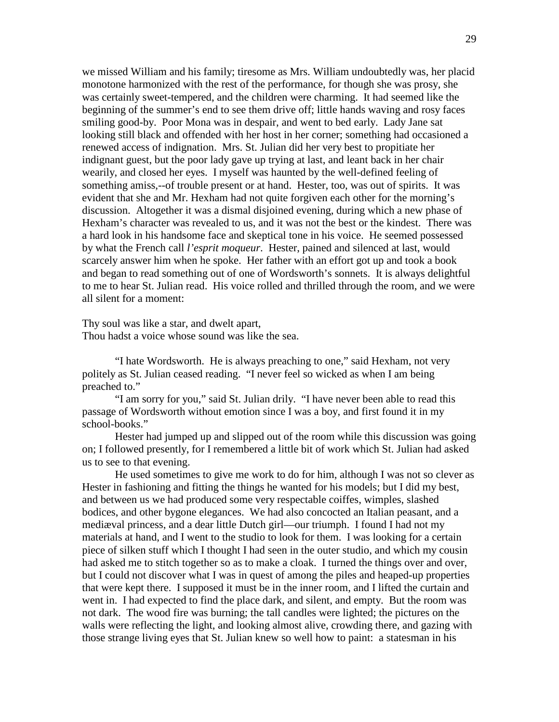we missed William and his family; tiresome as Mrs. William undoubtedly was, her placid monotone harmonized with the rest of the performance, for though she was prosy, she was certainly sweet-tempered, and the children were charming. It had seemed like the beginning of the summer's end to see them drive off; little hands waving and rosy faces smiling good-by. Poor Mona was in despair, and went to bed early. Lady Jane sat looking still black and offended with her host in her corner; something had occasioned a renewed access of indignation. Mrs. St. Julian did her very best to propitiate her indignant guest, but the poor lady gave up trying at last, and leant back in her chair wearily, and closed her eyes. I myself was haunted by the well-defined feeling of something amiss,--of trouble present or at hand. Hester, too, was out of spirits. It was evident that she and Mr. Hexham had not quite forgiven each other for the morning's discussion. Altogether it was a dismal disjoined evening, during which a new phase of Hexham's character was revealed to us, and it was not the best or the kindest. There was a hard look in his handsome face and skeptical tone in his voice. He seemed possessed by what the French call *l'esprit moqueur*. Hester, pained and silenced at last, would scarcely answer him when he spoke. Her father with an effort got up and took a book and began to read something out of one of Wordsworth's sonnets. It is always delightful to me to hear St. Julian read. His voice rolled and thrilled through the room, and we were all silent for a moment:

Thy soul was like a star, and dwelt apart, Thou hadst a voice whose sound was like the sea.

 "I hate Wordsworth. He is always preaching to one," said Hexham, not very politely as St. Julian ceased reading. "I never feel so wicked as when I am being preached to."

 "I am sorry for you," said St. Julian drily. "I have never been able to read this passage of Wordsworth without emotion since I was a boy, and first found it in my school-books."

 Hester had jumped up and slipped out of the room while this discussion was going on; I followed presently, for I remembered a little bit of work which St. Julian had asked us to see to that evening.

 He used sometimes to give me work to do for him, although I was not so clever as Hester in fashioning and fitting the things he wanted for his models; but I did my best, and between us we had produced some very respectable coiffes, wimples, slashed bodices, and other bygone elegances. We had also concocted an Italian peasant, and a mediæval princess, and a dear little Dutch girl—our triumph. I found I had not my materials at hand, and I went to the studio to look for them. I was looking for a certain piece of silken stuff which I thought I had seen in the outer studio, and which my cousin had asked me to stitch together so as to make a cloak. I turned the things over and over, but I could not discover what I was in quest of among the piles and heaped-up properties that were kept there. I supposed it must be in the inner room, and I lifted the curtain and went in. I had expected to find the place dark, and silent, and empty. But the room was not dark. The wood fire was burning; the tall candles were lighted; the pictures on the walls were reflecting the light, and looking almost alive, crowding there, and gazing with those strange living eyes that St. Julian knew so well how to paint: a statesman in his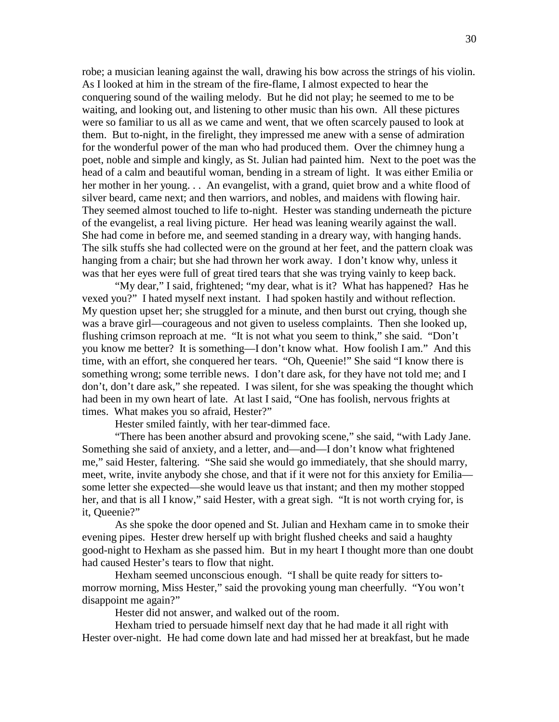robe; a musician leaning against the wall, drawing his bow across the strings of his violin. As I looked at him in the stream of the fire-flame, I almost expected to hear the conquering sound of the wailing melody. But he did not play; he seemed to me to be waiting, and looking out, and listening to other music than his own. All these pictures were so familiar to us all as we came and went, that we often scarcely paused to look at them. But to-night, in the firelight, they impressed me anew with a sense of admiration for the wonderful power of the man who had produced them. Over the chimney hung a poet, noble and simple and kingly, as St. Julian had painted him. Next to the poet was the head of a calm and beautiful woman, bending in a stream of light. It was either Emilia or her mother in her young... An evangelist, with a grand, quiet brow and a white flood of silver beard, came next; and then warriors, and nobles, and maidens with flowing hair. They seemed almost touched to life to-night. Hester was standing underneath the picture of the evangelist, a real living picture. Her head was leaning wearily against the wall. She had come in before me, and seemed standing in a dreary way, with hanging hands. The silk stuffs she had collected were on the ground at her feet, and the pattern cloak was hanging from a chair; but she had thrown her work away. I don't know why, unless it was that her eyes were full of great tired tears that she was trying vainly to keep back.

 "My dear," I said, frightened; "my dear, what is it? What has happened? Has he vexed you?" I hated myself next instant. I had spoken hastily and without reflection. My question upset her; she struggled for a minute, and then burst out crying, though she was a brave girl—courageous and not given to useless complaints. Then she looked up, flushing crimson reproach at me. "It is not what you seem to think," she said. "Don't you know me better? It is something—I don't know what. How foolish I am." And this time, with an effort, she conquered her tears. "Oh, Queenie!" She said "I know there is something wrong; some terrible news. I don't dare ask, for they have not told me; and I don't, don't dare ask," she repeated. I was silent, for she was speaking the thought which had been in my own heart of late. At last I said, "One has foolish, nervous frights at times. What makes you so afraid, Hester?"

Hester smiled faintly, with her tear-dimmed face.

 "There has been another absurd and provoking scene," she said, "with Lady Jane. Something she said of anxiety, and a letter, and—and—I don't know what frightened me," said Hester, faltering. "She said she would go immediately, that she should marry, meet, write, invite anybody she chose, and that if it were not for this anxiety for Emilia some letter she expected—she would leave us that instant; and then my mother stopped her, and that is all I know," said Hester, with a great sigh. "It is not worth crying for, is it, Queenie?"

 As she spoke the door opened and St. Julian and Hexham came in to smoke their evening pipes. Hester drew herself up with bright flushed cheeks and said a haughty good-night to Hexham as she passed him. But in my heart I thought more than one doubt had caused Hester's tears to flow that night.

 Hexham seemed unconscious enough. "I shall be quite ready for sitters tomorrow morning, Miss Hester," said the provoking young man cheerfully. "You won't disappoint me again?"

Hester did not answer, and walked out of the room.

 Hexham tried to persuade himself next day that he had made it all right with Hester over-night. He had come down late and had missed her at breakfast, but he made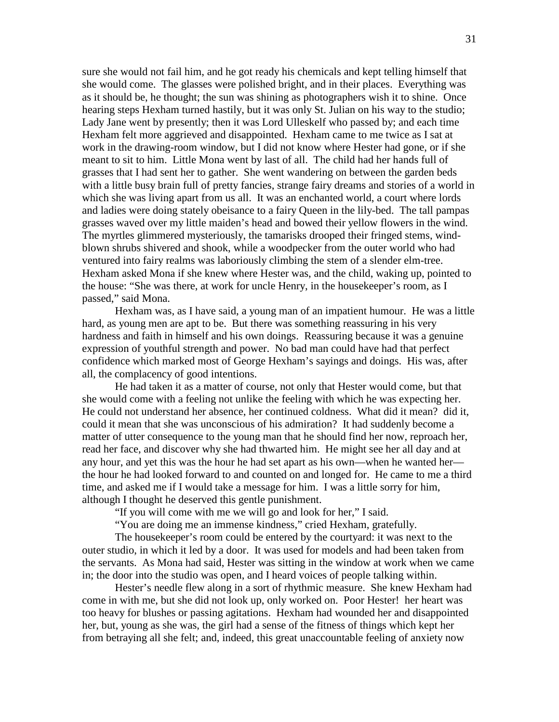sure she would not fail him, and he got ready his chemicals and kept telling himself that she would come. The glasses were polished bright, and in their places. Everything was as it should be, he thought; the sun was shining as photographers wish it to shine. Once hearing steps Hexham turned hastily, but it was only St. Julian on his way to the studio; Lady Jane went by presently; then it was Lord Ulleskelf who passed by; and each time Hexham felt more aggrieved and disappointed. Hexham came to me twice as I sat at work in the drawing-room window, but I did not know where Hester had gone, or if she meant to sit to him. Little Mona went by last of all. The child had her hands full of grasses that I had sent her to gather. She went wandering on between the garden beds with a little busy brain full of pretty fancies, strange fairy dreams and stories of a world in which she was living apart from us all. It was an enchanted world, a court where lords and ladies were doing stately obeisance to a fairy Queen in the lily-bed. The tall pampas grasses waved over my little maiden's head and bowed their yellow flowers in the wind. The myrtles glimmered mysteriously, the tamarisks drooped their fringed stems, windblown shrubs shivered and shook, while a woodpecker from the outer world who had ventured into fairy realms was laboriously climbing the stem of a slender elm-tree. Hexham asked Mona if she knew where Hester was, and the child, waking up, pointed to the house: "She was there, at work for uncle Henry, in the housekeeper's room, as I passed," said Mona.

 Hexham was, as I have said, a young man of an impatient humour. He was a little hard, as young men are apt to be. But there was something reassuring in his very hardness and faith in himself and his own doings. Reassuring because it was a genuine expression of youthful strength and power. No bad man could have had that perfect confidence which marked most of George Hexham's sayings and doings. His was, after all, the complacency of good intentions.

 He had taken it as a matter of course, not only that Hester would come, but that she would come with a feeling not unlike the feeling with which he was expecting her. He could not understand her absence, her continued coldness. What did it mean? did it, could it mean that she was unconscious of his admiration? It had suddenly become a matter of utter consequence to the young man that he should find her now, reproach her, read her face, and discover why she had thwarted him. He might see her all day and at any hour, and yet this was the hour he had set apart as his own—when he wanted her the hour he had looked forward to and counted on and longed for. He came to me a third time, and asked me if I would take a message for him. I was a little sorry for him, although I thought he deserved this gentle punishment.

"If you will come with me we will go and look for her," I said.

"You are doing me an immense kindness," cried Hexham, gratefully.

 The housekeeper's room could be entered by the courtyard: it was next to the outer studio, in which it led by a door. It was used for models and had been taken from the servants. As Mona had said, Hester was sitting in the window at work when we came in; the door into the studio was open, and I heard voices of people talking within.

 Hester's needle flew along in a sort of rhythmic measure. She knew Hexham had come in with me, but she did not look up, only worked on. Poor Hester! her heart was too heavy for blushes or passing agitations. Hexham had wounded her and disappointed her, but, young as she was, the girl had a sense of the fitness of things which kept her from betraying all she felt; and, indeed, this great unaccountable feeling of anxiety now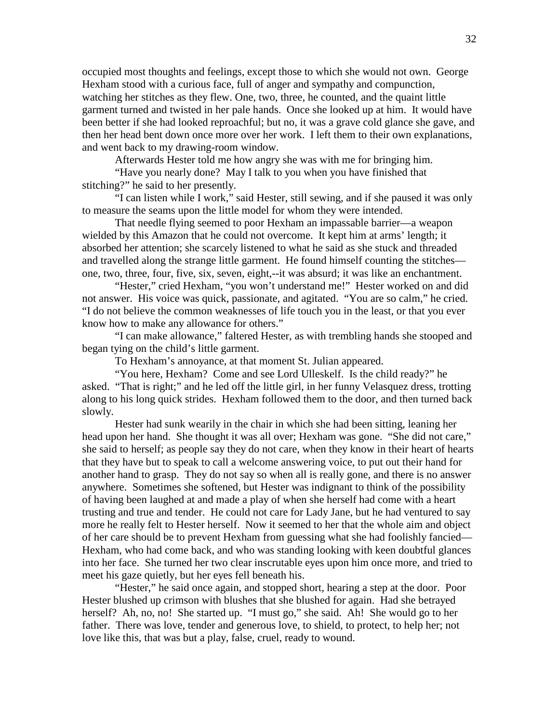occupied most thoughts and feelings, except those to which she would not own. George Hexham stood with a curious face, full of anger and sympathy and compunction, watching her stitches as they flew. One, two, three, he counted, and the quaint little garment turned and twisted in her pale hands. Once she looked up at him. It would have been better if she had looked reproachful; but no, it was a grave cold glance she gave, and then her head bent down once more over her work. I left them to their own explanations, and went back to my drawing-room window.

Afterwards Hester told me how angry she was with me for bringing him.

 "Have you nearly done? May I talk to you when you have finished that stitching?" he said to her presently.

 "I can listen while I work," said Hester, still sewing, and if she paused it was only to measure the seams upon the little model for whom they were intended.

 That needle flying seemed to poor Hexham an impassable barrier—a weapon wielded by this Amazon that he could not overcome. It kept him at arms' length; it absorbed her attention; she scarcely listened to what he said as she stuck and threaded and travelled along the strange little garment. He found himself counting the stitches one, two, three, four, five, six, seven, eight,--it was absurd; it was like an enchantment.

"Hester," cried Hexham, "you won't understand me!" Hester worked on and did not answer. His voice was quick, passionate, and agitated. "You are so calm," he cried. "I do not believe the common weaknesses of life touch you in the least, or that you ever know how to make any allowance for others."

 "I can make allowance," faltered Hester, as with trembling hands she stooped and began tying on the child's little garment.

To Hexham's annoyance, at that moment St. Julian appeared.

 "You here, Hexham? Come and see Lord Ulleskelf. Is the child ready?" he asked. "That is right;" and he led off the little girl, in her funny Velasquez dress, trotting along to his long quick strides. Hexham followed them to the door, and then turned back slowly.

 Hester had sunk wearily in the chair in which she had been sitting, leaning her head upon her hand. She thought it was all over; Hexham was gone. "She did not care," she said to herself; as people say they do not care, when they know in their heart of hearts that they have but to speak to call a welcome answering voice, to put out their hand for another hand to grasp. They do not say so when all is really gone, and there is no answer anywhere. Sometimes she softened, but Hester was indignant to think of the possibility of having been laughed at and made a play of when she herself had come with a heart trusting and true and tender. He could not care for Lady Jane, but he had ventured to say more he really felt to Hester herself. Now it seemed to her that the whole aim and object of her care should be to prevent Hexham from guessing what she had foolishly fancied— Hexham, who had come back, and who was standing looking with keen doubtful glances into her face. She turned her two clear inscrutable eyes upon him once more, and tried to meet his gaze quietly, but her eyes fell beneath his.

 "Hester," he said once again, and stopped short, hearing a step at the door. Poor Hester blushed up crimson with blushes that she blushed for again. Had she betrayed herself? Ah, no, no! She started up. "I must go," she said. Ah! She would go to her father. There was love, tender and generous love, to shield, to protect, to help her; not love like this, that was but a play, false, cruel, ready to wound.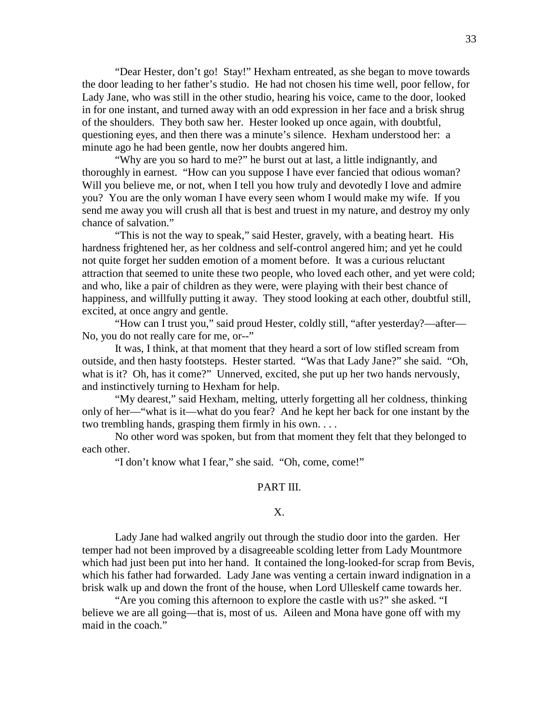"Dear Hester, don't go! Stay!" Hexham entreated, as she began to move towards the door leading to her father's studio. He had not chosen his time well, poor fellow, for Lady Jane, who was still in the other studio, hearing his voice, came to the door, looked in for one instant, and turned away with an odd expression in her face and a brisk shrug of the shoulders. They both saw her. Hester looked up once again, with doubtful, questioning eyes, and then there was a minute's silence. Hexham understood her: a minute ago he had been gentle, now her doubts angered him.

 "Why are you so hard to me?" he burst out at last, a little indignantly, and thoroughly in earnest. "How can you suppose I have ever fancied that odious woman? Will you believe me, or not, when I tell you how truly and devotedly I love and admire you? You are the only woman I have every seen whom I would make my wife. If you send me away you will crush all that is best and truest in my nature, and destroy my only chance of salvation."

 "This is not the way to speak," said Hester, gravely, with a beating heart. His hardness frightened her, as her coldness and self-control angered him; and yet he could not quite forget her sudden emotion of a moment before. It was a curious reluctant attraction that seemed to unite these two people, who loved each other, and yet were cold; and who, like a pair of children as they were, were playing with their best chance of happiness, and willfully putting it away. They stood looking at each other, doubtful still, excited, at once angry and gentle.

 "How can I trust you," said proud Hester, coldly still, "after yesterday?—after— No, you do not really care for me, or--"

 It was, I think, at that moment that they heard a sort of low stifled scream from outside, and then hasty footsteps. Hester started. "Was that Lady Jane?" she said. "Oh, what is it? Oh, has it come?" Unnerved, excited, she put up her two hands nervously, and instinctively turning to Hexham for help.

 "My dearest," said Hexham, melting, utterly forgetting all her coldness, thinking only of her—"what is it—what do you fear? And he kept her back for one instant by the two trembling hands, grasping them firmly in his own. . . .

 No other word was spoken, but from that moment they felt that they belonged to each other.

"I don't know what I fear," she said. "Oh, come, come!"

# PART III.

# X.

 Lady Jane had walked angrily out through the studio door into the garden. Her temper had not been improved by a disagreeable scolding letter from Lady Mountmore which had just been put into her hand. It contained the long-looked-for scrap from Bevis, which his father had forwarded. Lady Jane was venting a certain inward indignation in a brisk walk up and down the front of the house, when Lord Ulleskelf came towards her.

 "Are you coming this afternoon to explore the castle with us?" she asked. "I believe we are all going—that is, most of us. Aileen and Mona have gone off with my maid in the coach."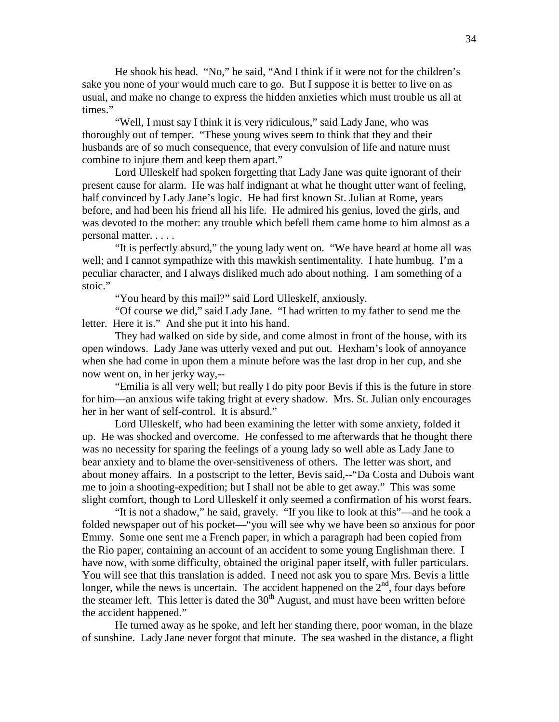He shook his head. "No," he said, "And I think if it were not for the children's sake you none of your would much care to go. But I suppose it is better to live on as usual, and make no change to express the hidden anxieties which must trouble us all at times."

 "Well, I must say I think it is very ridiculous," said Lady Jane, who was thoroughly out of temper. "These young wives seem to think that they and their husbands are of so much consequence, that every convulsion of life and nature must combine to injure them and keep them apart."

 Lord Ulleskelf had spoken forgetting that Lady Jane was quite ignorant of their present cause for alarm. He was half indignant at what he thought utter want of feeling, half convinced by Lady Jane's logic. He had first known St. Julian at Rome, years before, and had been his friend all his life. He admired his genius, loved the girls, and was devoted to the mother: any trouble which befell them came home to him almost as a personal matter. . . . .

 "It is perfectly absurd," the young lady went on. "We have heard at home all was well; and I cannot sympathize with this mawkish sentimentality. I hate humbug. I'm a peculiar character, and I always disliked much ado about nothing. I am something of a stoic."

"You heard by this mail?" said Lord Ulleskelf, anxiously.

 "Of course we did," said Lady Jane. "I had written to my father to send me the letter. Here it is." And she put it into his hand.

 They had walked on side by side, and come almost in front of the house, with its open windows. Lady Jane was utterly vexed and put out. Hexham's look of annoyance when she had come in upon them a minute before was the last drop in her cup, and she now went on, in her jerky way,--

 "Emilia is all very well; but really I do pity poor Bevis if this is the future in store for him—an anxious wife taking fright at every shadow. Mrs. St. Julian only encourages her in her want of self-control. It is absurd."

 Lord Ulleskelf, who had been examining the letter with some anxiety, folded it up. He was shocked and overcome. He confessed to me afterwards that he thought there was no necessity for sparing the feelings of a young lady so well able as Lady Jane to bear anxiety and to blame the over-sensitiveness of others. The letter was short, and about money affairs. In a postscript to the letter, Bevis said,--"Da Costa and Dubois want me to join a shooting-expedition; but I shall not be able to get away." This was some slight comfort, though to Lord Ulleskelf it only seemed a confirmation of his worst fears.

 "It is not a shadow," he said, gravely. "If you like to look at this"—and he took a folded newspaper out of his pocket—"you will see why we have been so anxious for poor Emmy. Some one sent me a French paper, in which a paragraph had been copied from the Rio paper, containing an account of an accident to some young Englishman there. I have now, with some difficulty, obtained the original paper itself, with fuller particulars. You will see that this translation is added. I need not ask you to spare Mrs. Bevis a little longer, while the news is uncertain. The accident happened on the  $2<sup>nd</sup>$ , four days before the steamer left. This letter is dated the  $30<sup>th</sup>$  August, and must have been written before the accident happened."

 He turned away as he spoke, and left her standing there, poor woman, in the blaze of sunshine. Lady Jane never forgot that minute. The sea washed in the distance, a flight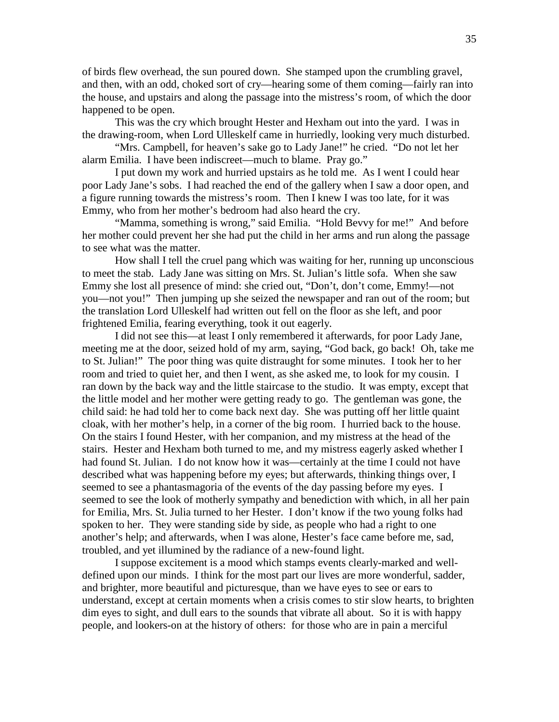of birds flew overhead, the sun poured down. She stamped upon the crumbling gravel, and then, with an odd, choked sort of cry—hearing some of them coming—fairly ran into the house, and upstairs and along the passage into the mistress's room, of which the door happened to be open.

 This was the cry which brought Hester and Hexham out into the yard. I was in the drawing-room, when Lord Ulleskelf came in hurriedly, looking very much disturbed.

 "Mrs. Campbell, for heaven's sake go to Lady Jane!" he cried. "Do not let her alarm Emilia. I have been indiscreet—much to blame. Pray go."

 I put down my work and hurried upstairs as he told me. As I went I could hear poor Lady Jane's sobs. I had reached the end of the gallery when I saw a door open, and a figure running towards the mistress's room. Then I knew I was too late, for it was Emmy, who from her mother's bedroom had also heard the cry.

 "Mamma, something is wrong," said Emilia. "Hold Bevvy for me!" And before her mother could prevent her she had put the child in her arms and run along the passage to see what was the matter.

 How shall I tell the cruel pang which was waiting for her, running up unconscious to meet the stab. Lady Jane was sitting on Mrs. St. Julian's little sofa. When she saw Emmy she lost all presence of mind: she cried out, "Don't, don't come, Emmy!—not you—not you!" Then jumping up she seized the newspaper and ran out of the room; but the translation Lord Ulleskelf had written out fell on the floor as she left, and poor frightened Emilia, fearing everything, took it out eagerly.

 I did not see this—at least I only remembered it afterwards, for poor Lady Jane, meeting me at the door, seized hold of my arm, saying, "God back, go back! Oh, take me to St. Julian!" The poor thing was quite distraught for some minutes. I took her to her room and tried to quiet her, and then I went, as she asked me, to look for my cousin. I ran down by the back way and the little staircase to the studio. It was empty, except that the little model and her mother were getting ready to go. The gentleman was gone, the child said: he had told her to come back next day. She was putting off her little quaint cloak, with her mother's help, in a corner of the big room. I hurried back to the house. On the stairs I found Hester, with her companion, and my mistress at the head of the stairs. Hester and Hexham both turned to me, and my mistress eagerly asked whether I had found St. Julian. I do not know how it was—certainly at the time I could not have described what was happening before my eyes; but afterwards, thinking things over, I seemed to see a phantasmagoria of the events of the day passing before my eyes. I seemed to see the look of motherly sympathy and benediction with which, in all her pain for Emilia, Mrs. St. Julia turned to her Hester. I don't know if the two young folks had spoken to her. They were standing side by side, as people who had a right to one another's help; and afterwards, when I was alone, Hester's face came before me, sad, troubled, and yet illumined by the radiance of a new-found light.

 I suppose excitement is a mood which stamps events clearly-marked and welldefined upon our minds. I think for the most part our lives are more wonderful, sadder, and brighter, more beautiful and picturesque, than we have eyes to see or ears to understand, except at certain moments when a crisis comes to stir slow hearts, to brighten dim eyes to sight, and dull ears to the sounds that vibrate all about. So it is with happy people, and lookers-on at the history of others: for those who are in pain a merciful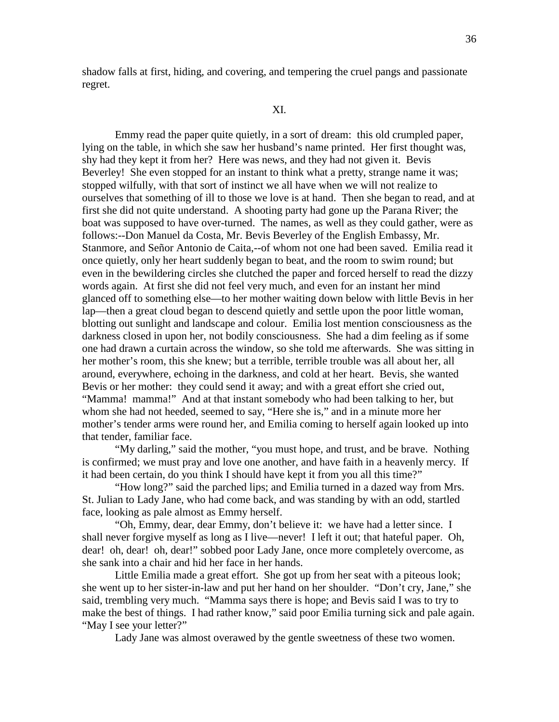shadow falls at first, hiding, and covering, and tempering the cruel pangs and passionate regret.

#### XI.

 Emmy read the paper quite quietly, in a sort of dream: this old crumpled paper, lying on the table, in which she saw her husband's name printed. Her first thought was, shy had they kept it from her? Here was news, and they had not given it. Bevis Beverley! She even stopped for an instant to think what a pretty, strange name it was; stopped wilfully, with that sort of instinct we all have when we will not realize to ourselves that something of ill to those we love is at hand. Then she began to read, and at first she did not quite understand. A shooting party had gone up the Parana River; the boat was supposed to have over-turned. The names, as well as they could gather, were as follows:--Don Manuel da Costa, Mr. Bevis Beverley of the English Embassy, Mr. Stanmore, and Señor Antonio de Caita,--of whom not one had been saved. Emilia read it once quietly, only her heart suddenly began to beat, and the room to swim round; but even in the bewildering circles she clutched the paper and forced herself to read the dizzy words again. At first she did not feel very much, and even for an instant her mind glanced off to something else—to her mother waiting down below with little Bevis in her lap—then a great cloud began to descend quietly and settle upon the poor little woman, blotting out sunlight and landscape and colour. Emilia lost mention consciousness as the darkness closed in upon her, not bodily consciousness. She had a dim feeling as if some one had drawn a curtain across the window, so she told me afterwards. She was sitting in her mother's room, this she knew; but a terrible, terrible trouble was all about her, all around, everywhere, echoing in the darkness, and cold at her heart. Bevis, she wanted Bevis or her mother: they could send it away; and with a great effort she cried out, "Mamma! mamma!" And at that instant somebody who had been talking to her, but whom she had not heeded, seemed to say, "Here she is," and in a minute more her mother's tender arms were round her, and Emilia coming to herself again looked up into that tender, familiar face.

 "My darling," said the mother, "you must hope, and trust, and be brave. Nothing is confirmed; we must pray and love one another, and have faith in a heavenly mercy. If it had been certain, do you think I should have kept it from you all this time?"

 "How long?" said the parched lips; and Emilia turned in a dazed way from Mrs. St. Julian to Lady Jane, who had come back, and was standing by with an odd, startled face, looking as pale almost as Emmy herself.

 "Oh, Emmy, dear, dear Emmy, don't believe it: we have had a letter since. I shall never forgive myself as long as I live—never! I left it out; that hateful paper. Oh, dear! oh, dear! oh, dear!" sobbed poor Lady Jane, once more completely overcome, as she sank into a chair and hid her face in her hands.

 Little Emilia made a great effort. She got up from her seat with a piteous look; she went up to her sister-in-law and put her hand on her shoulder. "Don't cry, Jane," she said, trembling very much. "Mamma says there is hope; and Bevis said I was to try to make the best of things. I had rather know," said poor Emilia turning sick and pale again. "May I see your letter?"

Lady Jane was almost overawed by the gentle sweetness of these two women.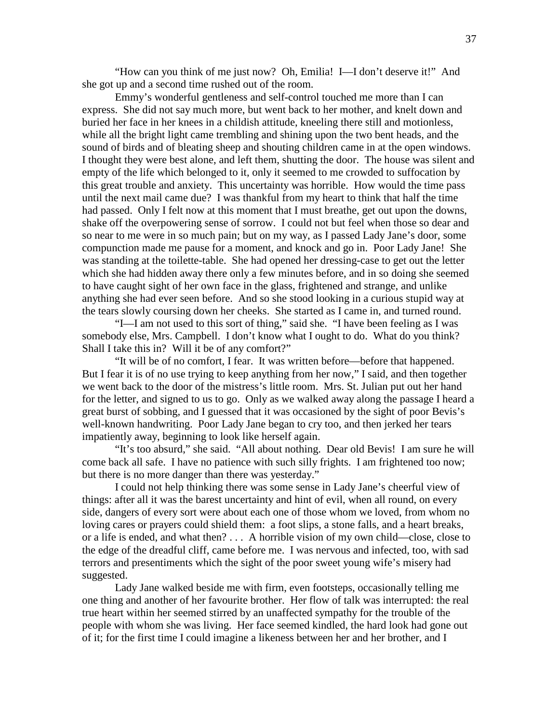"How can you think of me just now? Oh, Emilia! I—I don't deserve it!" And she got up and a second time rushed out of the room.

 Emmy's wonderful gentleness and self-control touched me more than I can express. She did not say much more, but went back to her mother, and knelt down and buried her face in her knees in a childish attitude, kneeling there still and motionless, while all the bright light came trembling and shining upon the two bent heads, and the sound of birds and of bleating sheep and shouting children came in at the open windows. I thought they were best alone, and left them, shutting the door. The house was silent and empty of the life which belonged to it, only it seemed to me crowded to suffocation by this great trouble and anxiety. This uncertainty was horrible. How would the time pass until the next mail came due? I was thankful from my heart to think that half the time had passed. Only I felt now at this moment that I must breathe, get out upon the downs, shake off the overpowering sense of sorrow. I could not but feel when those so dear and so near to me were in so much pain; but on my way, as I passed Lady Jane's door, some compunction made me pause for a moment, and knock and go in. Poor Lady Jane! She was standing at the toilette-table. She had opened her dressing-case to get out the letter which she had hidden away there only a few minutes before, and in so doing she seemed to have caught sight of her own face in the glass, frightened and strange, and unlike anything she had ever seen before. And so she stood looking in a curious stupid way at the tears slowly coursing down her cheeks. She started as I came in, and turned round.

 "I—I am not used to this sort of thing," said she. "I have been feeling as I was somebody else, Mrs. Campbell. I don't know what I ought to do. What do you think? Shall I take this in? Will it be of any comfort?"

 "It will be of no comfort, I fear. It was written before—before that happened. But I fear it is of no use trying to keep anything from her now," I said, and then together we went back to the door of the mistress's little room. Mrs. St. Julian put out her hand for the letter, and signed to us to go. Only as we walked away along the passage I heard a great burst of sobbing, and I guessed that it was occasioned by the sight of poor Bevis's well-known handwriting. Poor Lady Jane began to cry too, and then jerked her tears impatiently away, beginning to look like herself again.

 "It's too absurd," she said. "All about nothing. Dear old Bevis! I am sure he will come back all safe. I have no patience with such silly frights. I am frightened too now; but there is no more danger than there was yesterday."

 I could not help thinking there was some sense in Lady Jane's cheerful view of things: after all it was the barest uncertainty and hint of evil, when all round, on every side, dangers of every sort were about each one of those whom we loved, from whom no loving cares or prayers could shield them: a foot slips, a stone falls, and a heart breaks, or a life is ended, and what then? . . . A horrible vision of my own child—close, close to the edge of the dreadful cliff, came before me. I was nervous and infected, too, with sad terrors and presentiments which the sight of the poor sweet young wife's misery had suggested.

 Lady Jane walked beside me with firm, even footsteps, occasionally telling me one thing and another of her favourite brother. Her flow of talk was interrupted: the real true heart within her seemed stirred by an unaffected sympathy for the trouble of the people with whom she was living. Her face seemed kindled, the hard look had gone out of it; for the first time I could imagine a likeness between her and her brother, and I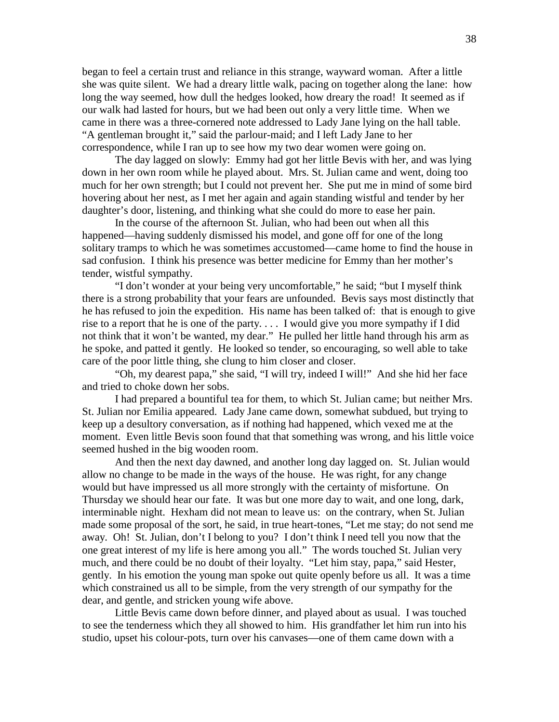began to feel a certain trust and reliance in this strange, wayward woman. After a little she was quite silent. We had a dreary little walk, pacing on together along the lane: how long the way seemed, how dull the hedges looked, how dreary the road! It seemed as if our walk had lasted for hours, but we had been out only a very little time. When we came in there was a three-cornered note addressed to Lady Jane lying on the hall table. "A gentleman brought it," said the parlour-maid; and I left Lady Jane to her correspondence, while I ran up to see how my two dear women were going on.

 The day lagged on slowly: Emmy had got her little Bevis with her, and was lying down in her own room while he played about. Mrs. St. Julian came and went, doing too much for her own strength; but I could not prevent her. She put me in mind of some bird hovering about her nest, as I met her again and again standing wistful and tender by her daughter's door, listening, and thinking what she could do more to ease her pain.

 In the course of the afternoon St. Julian, who had been out when all this happened—having suddenly dismissed his model, and gone off for one of the long solitary tramps to which he was sometimes accustomed—came home to find the house in sad confusion. I think his presence was better medicine for Emmy than her mother's tender, wistful sympathy.

 "I don't wonder at your being very uncomfortable," he said; "but I myself think there is a strong probability that your fears are unfounded. Bevis says most distinctly that he has refused to join the expedition. His name has been talked of: that is enough to give rise to a report that he is one of the party. . . . I would give you more sympathy if I did not think that it won't be wanted, my dear." He pulled her little hand through his arm as he spoke, and patted it gently. He looked so tender, so encouraging, so well able to take care of the poor little thing, she clung to him closer and closer.

 "Oh, my dearest papa," she said, "I will try, indeed I will!" And she hid her face and tried to choke down her sobs.

 I had prepared a bountiful tea for them, to which St. Julian came; but neither Mrs. St. Julian nor Emilia appeared. Lady Jane came down, somewhat subdued, but trying to keep up a desultory conversation, as if nothing had happened, which vexed me at the moment. Even little Bevis soon found that that something was wrong, and his little voice seemed hushed in the big wooden room.

 And then the next day dawned, and another long day lagged on. St. Julian would allow no change to be made in the ways of the house. He was right, for any change would but have impressed us all more strongly with the certainty of misfortune. On Thursday we should hear our fate. It was but one more day to wait, and one long, dark, interminable night. Hexham did not mean to leave us: on the contrary, when St. Julian made some proposal of the sort, he said, in true heart-tones, "Let me stay; do not send me away. Oh! St. Julian, don't I belong to you? I don't think I need tell you now that the one great interest of my life is here among you all." The words touched St. Julian very much, and there could be no doubt of their loyalty. "Let him stay, papa," said Hester, gently. In his emotion the young man spoke out quite openly before us all. It was a time which constrained us all to be simple, from the very strength of our sympathy for the dear, and gentle, and stricken young wife above.

 Little Bevis came down before dinner, and played about as usual. I was touched to see the tenderness which they all showed to him. His grandfather let him run into his studio, upset his colour-pots, turn over his canvases—one of them came down with a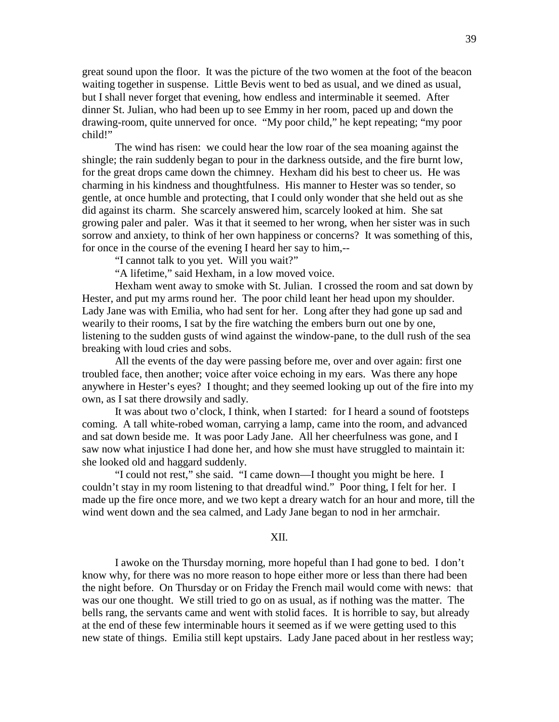great sound upon the floor. It was the picture of the two women at the foot of the beacon waiting together in suspense. Little Bevis went to bed as usual, and we dined as usual, but I shall never forget that evening, how endless and interminable it seemed. After dinner St. Julian, who had been up to see Emmy in her room, paced up and down the drawing-room, quite unnerved for once. "My poor child," he kept repeating; "my poor child!"

 The wind has risen: we could hear the low roar of the sea moaning against the shingle; the rain suddenly began to pour in the darkness outside, and the fire burnt low, for the great drops came down the chimney. Hexham did his best to cheer us. He was charming in his kindness and thoughtfulness. His manner to Hester was so tender, so gentle, at once humble and protecting, that I could only wonder that she held out as she did against its charm. She scarcely answered him, scarcely looked at him. She sat growing paler and paler. Was it that it seemed to her wrong, when her sister was in such sorrow and anxiety, to think of her own happiness or concerns? It was something of this, for once in the course of the evening I heard her say to him,--

"I cannot talk to you yet. Will you wait?"

"A lifetime," said Hexham, in a low moved voice.

 Hexham went away to smoke with St. Julian. I crossed the room and sat down by Hester, and put my arms round her. The poor child leant her head upon my shoulder. Lady Jane was with Emilia, who had sent for her. Long after they had gone up sad and wearily to their rooms, I sat by the fire watching the embers burn out one by one, listening to the sudden gusts of wind against the window-pane, to the dull rush of the sea breaking with loud cries and sobs.

 All the events of the day were passing before me, over and over again: first one troubled face, then another; voice after voice echoing in my ears. Was there any hope anywhere in Hester's eyes? I thought; and they seemed looking up out of the fire into my own, as I sat there drowsily and sadly.

 It was about two o'clock, I think, when I started: for I heard a sound of footsteps coming. A tall white-robed woman, carrying a lamp, came into the room, and advanced and sat down beside me. It was poor Lady Jane. All her cheerfulness was gone, and I saw now what injustice I had done her, and how she must have struggled to maintain it: she looked old and haggard suddenly.

 "I could not rest," she said. "I came down—I thought you might be here. I couldn't stay in my room listening to that dreadful wind." Poor thing, I felt for her. I made up the fire once more, and we two kept a dreary watch for an hour and more, till the wind went down and the sea calmed, and Lady Jane began to nod in her armchair.

#### XII.

 I awoke on the Thursday morning, more hopeful than I had gone to bed. I don't know why, for there was no more reason to hope either more or less than there had been the night before. On Thursday or on Friday the French mail would come with news: that was our one thought. We still tried to go on as usual, as if nothing was the matter. The bells rang, the servants came and went with stolid faces. It is horrible to say, but already at the end of these few interminable hours it seemed as if we were getting used to this new state of things. Emilia still kept upstairs. Lady Jane paced about in her restless way;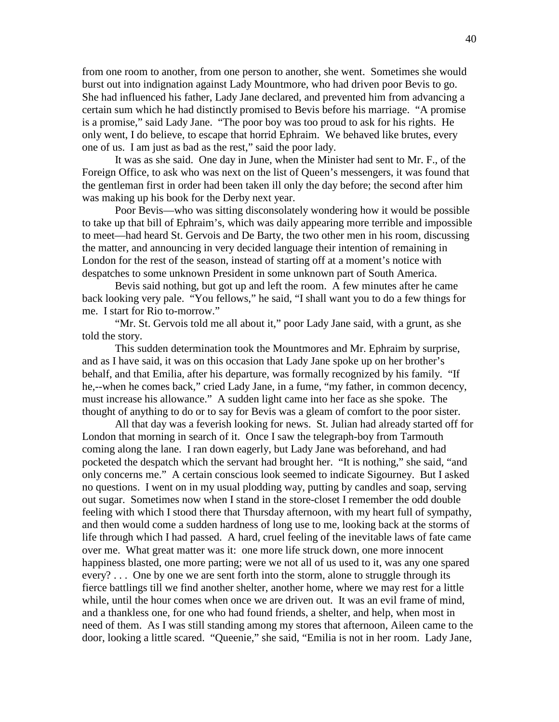from one room to another, from one person to another, she went. Sometimes she would burst out into indignation against Lady Mountmore, who had driven poor Bevis to go. She had influenced his father, Lady Jane declared, and prevented him from advancing a certain sum which he had distinctly promised to Bevis before his marriage. "A promise is a promise," said Lady Jane. "The poor boy was too proud to ask for his rights. He only went, I do believe, to escape that horrid Ephraim. We behaved like brutes, every one of us. I am just as bad as the rest," said the poor lady.

 It was as she said. One day in June, when the Minister had sent to Mr. F., of the Foreign Office, to ask who was next on the list of Queen's messengers, it was found that the gentleman first in order had been taken ill only the day before; the second after him was making up his book for the Derby next year.

 Poor Bevis—who was sitting disconsolately wondering how it would be possible to take up that bill of Ephraim's, which was daily appearing more terrible and impossible to meet—had heard St. Gervois and De Barty, the two other men in his room, discussing the matter, and announcing in very decided language their intention of remaining in London for the rest of the season, instead of starting off at a moment's notice with despatches to some unknown President in some unknown part of South America.

 Bevis said nothing, but got up and left the room. A few minutes after he came back looking very pale. "You fellows," he said, "I shall want you to do a few things for me. I start for Rio to-morrow."

 "Mr. St. Gervois told me all about it," poor Lady Jane said, with a grunt, as she told the story.

 This sudden determination took the Mountmores and Mr. Ephraim by surprise, and as I have said, it was on this occasion that Lady Jane spoke up on her brother's behalf, and that Emilia, after his departure, was formally recognized by his family. "If he,--when he comes back," cried Lady Jane, in a fume, "my father, in common decency, must increase his allowance." A sudden light came into her face as she spoke. The thought of anything to do or to say for Bevis was a gleam of comfort to the poor sister.

 All that day was a feverish looking for news. St. Julian had already started off for London that morning in search of it. Once I saw the telegraph-boy from Tarmouth coming along the lane. I ran down eagerly, but Lady Jane was beforehand, and had pocketed the despatch which the servant had brought her. "It is nothing," she said, "and only concerns me." A certain conscious look seemed to indicate Sigourney. But I asked no questions. I went on in my usual plodding way, putting by candles and soap, serving out sugar. Sometimes now when I stand in the store-closet I remember the odd double feeling with which I stood there that Thursday afternoon, with my heart full of sympathy, and then would come a sudden hardness of long use to me, looking back at the storms of life through which I had passed. A hard, cruel feeling of the inevitable laws of fate came over me. What great matter was it: one more life struck down, one more innocent happiness blasted, one more parting; were we not all of us used to it, was any one spared every? . . . One by one we are sent forth into the storm, alone to struggle through its fierce battlings till we find another shelter, another home, where we may rest for a little while, until the hour comes when once we are driven out. It was an evil frame of mind, and a thankless one, for one who had found friends, a shelter, and help, when most in need of them. As I was still standing among my stores that afternoon, Aileen came to the door, looking a little scared. "Queenie," she said, "Emilia is not in her room. Lady Jane,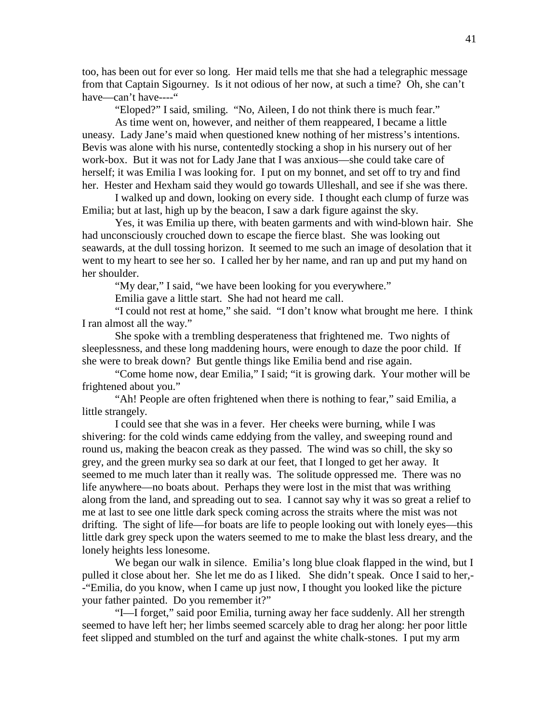too, has been out for ever so long. Her maid tells me that she had a telegraphic message from that Captain Sigourney. Is it not odious of her now, at such a time? Oh, she can't have—can't have----"

"Eloped?" I said, smiling. "No, Aileen, I do not think there is much fear."

 As time went on, however, and neither of them reappeared, I became a little uneasy. Lady Jane's maid when questioned knew nothing of her mistress's intentions. Bevis was alone with his nurse, contentedly stocking a shop in his nursery out of her work-box. But it was not for Lady Jane that I was anxious—she could take care of herself; it was Emilia I was looking for. I put on my bonnet, and set off to try and find her. Hester and Hexham said they would go towards Ulleshall, and see if she was there.

 I walked up and down, looking on every side. I thought each clump of furze was Emilia; but at last, high up by the beacon, I saw a dark figure against the sky.

 Yes, it was Emilia up there, with beaten garments and with wind-blown hair. She had unconsciously crouched down to escape the fierce blast. She was looking out seawards, at the dull tossing horizon. It seemed to me such an image of desolation that it went to my heart to see her so. I called her by her name, and ran up and put my hand on her shoulder.

"My dear," I said, "we have been looking for you everywhere."

Emilia gave a little start. She had not heard me call.

 "I could not rest at home," she said. "I don't know what brought me here. I think I ran almost all the way."

 She spoke with a trembling desperateness that frightened me. Two nights of sleeplessness, and these long maddening hours, were enough to daze the poor child. If she were to break down? But gentle things like Emilia bend and rise again.

 "Come home now, dear Emilia," I said; "it is growing dark. Your mother will be frightened about you."

 "Ah! People are often frightened when there is nothing to fear," said Emilia, a little strangely.

 I could see that she was in a fever. Her cheeks were burning, while I was shivering: for the cold winds came eddying from the valley, and sweeping round and round us, making the beacon creak as they passed. The wind was so chill, the sky so grey, and the green murky sea so dark at our feet, that I longed to get her away. It seemed to me much later than it really was. The solitude oppressed me. There was no life anywhere—no boats about. Perhaps they were lost in the mist that was writhing along from the land, and spreading out to sea. I cannot say why it was so great a relief to me at last to see one little dark speck coming across the straits where the mist was not drifting. The sight of life—for boats are life to people looking out with lonely eyes—this little dark grey speck upon the waters seemed to me to make the blast less dreary, and the lonely heights less lonesome.

We began our walk in silence. Emilia's long blue cloak flapped in the wind, but I pulled it close about her. She let me do as I liked. She didn't speak. Once I said to her,- -"Emilia, do you know, when I came up just now, I thought you looked like the picture your father painted. Do you remember it?"

 "I—I forget," said poor Emilia, turning away her face suddenly. All her strength seemed to have left her; her limbs seemed scarcely able to drag her along: her poor little feet slipped and stumbled on the turf and against the white chalk-stones. I put my arm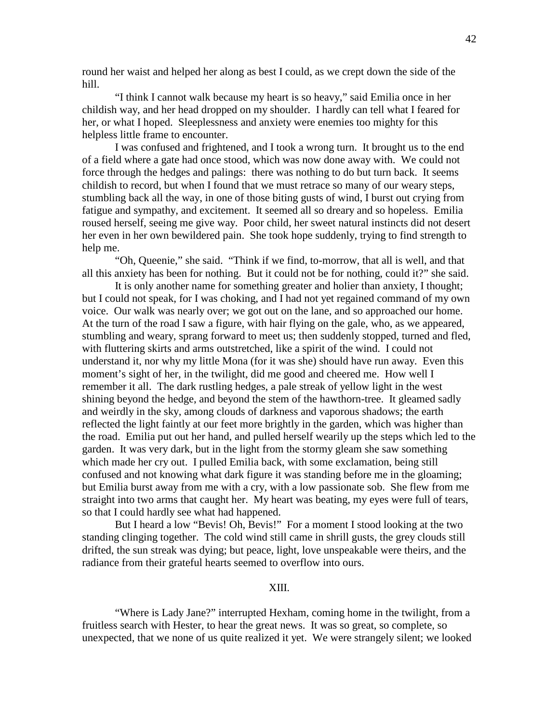round her waist and helped her along as best I could, as we crept down the side of the hill.

 "I think I cannot walk because my heart is so heavy," said Emilia once in her childish way, and her head dropped on my shoulder. I hardly can tell what I feared for her, or what I hoped. Sleeplessness and anxiety were enemies too mighty for this helpless little frame to encounter.

 I was confused and frightened, and I took a wrong turn. It brought us to the end of a field where a gate had once stood, which was now done away with. We could not force through the hedges and palings: there was nothing to do but turn back. It seems childish to record, but when I found that we must retrace so many of our weary steps, stumbling back all the way, in one of those biting gusts of wind, I burst out crying from fatigue and sympathy, and excitement. It seemed all so dreary and so hopeless. Emilia roused herself, seeing me give way. Poor child, her sweet natural instincts did not desert her even in her own bewildered pain. She took hope suddenly, trying to find strength to help me.

 "Oh, Queenie," she said. "Think if we find, to-morrow, that all is well, and that all this anxiety has been for nothing. But it could not be for nothing, could it?" she said.

 It is only another name for something greater and holier than anxiety, I thought; but I could not speak, for I was choking, and I had not yet regained command of my own voice. Our walk was nearly over; we got out on the lane, and so approached our home. At the turn of the road I saw a figure, with hair flying on the gale, who, as we appeared, stumbling and weary, sprang forward to meet us; then suddenly stopped, turned and fled, with fluttering skirts and arms outstretched, like a spirit of the wind. I could not understand it, nor why my little Mona (for it was she) should have run away. Even this moment's sight of her, in the twilight, did me good and cheered me. How well I remember it all. The dark rustling hedges, a pale streak of yellow light in the west shining beyond the hedge, and beyond the stem of the hawthorn-tree. It gleamed sadly and weirdly in the sky, among clouds of darkness and vaporous shadows; the earth reflected the light faintly at our feet more brightly in the garden, which was higher than the road. Emilia put out her hand, and pulled herself wearily up the steps which led to the garden. It was very dark, but in the light from the stormy gleam she saw something which made her cry out. I pulled Emilia back, with some exclamation, being still confused and not knowing what dark figure it was standing before me in the gloaming; but Emilia burst away from me with a cry, with a low passionate sob. She flew from me straight into two arms that caught her. My heart was beating, my eyes were full of tears, so that I could hardly see what had happened.

 But I heard a low "Bevis! Oh, Bevis!" For a moment I stood looking at the two standing clinging together. The cold wind still came in shrill gusts, the grey clouds still drifted, the sun streak was dying; but peace, light, love unspeakable were theirs, and the radiance from their grateful hearts seemed to overflow into ours.

# XIII.

 "Where is Lady Jane?" interrupted Hexham, coming home in the twilight, from a fruitless search with Hester, to hear the great news. It was so great, so complete, so unexpected, that we none of us quite realized it yet. We were strangely silent; we looked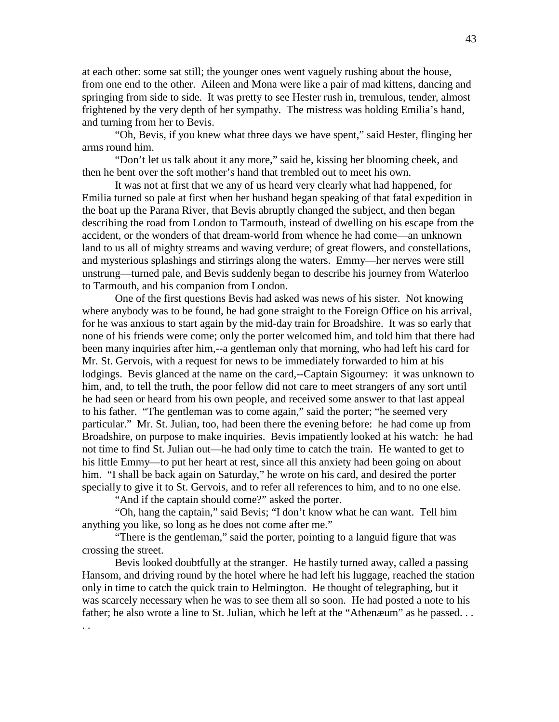at each other: some sat still; the younger ones went vaguely rushing about the house, from one end to the other. Aileen and Mona were like a pair of mad kittens, dancing and springing from side to side. It was pretty to see Hester rush in, tremulous, tender, almost frightened by the very depth of her sympathy. The mistress was holding Emilia's hand, and turning from her to Bevis.

 "Oh, Bevis, if you knew what three days we have spent," said Hester, flinging her arms round him.

 "Don't let us talk about it any more," said he, kissing her blooming cheek, and then he bent over the soft mother's hand that trembled out to meet his own.

 It was not at first that we any of us heard very clearly what had happened, for Emilia turned so pale at first when her husband began speaking of that fatal expedition in the boat up the Parana River, that Bevis abruptly changed the subject, and then began describing the road from London to Tarmouth, instead of dwelling on his escape from the accident, or the wonders of that dream-world from whence he had come—an unknown land to us all of mighty streams and waving verdure; of great flowers, and constellations, and mysterious splashings and stirrings along the waters. Emmy—her nerves were still unstrung—turned pale, and Bevis suddenly began to describe his journey from Waterloo to Tarmouth, and his companion from London.

 One of the first questions Bevis had asked was news of his sister. Not knowing where anybody was to be found, he had gone straight to the Foreign Office on his arrival, for he was anxious to start again by the mid-day train for Broadshire. It was so early that none of his friends were come; only the porter welcomed him, and told him that there had been many inquiries after him,--a gentleman only that morning, who had left his card for Mr. St. Gervois, with a request for news to be immediately forwarded to him at his lodgings. Bevis glanced at the name on the card,--Captain Sigourney: it was unknown to him, and, to tell the truth, the poor fellow did not care to meet strangers of any sort until he had seen or heard from his own people, and received some answer to that last appeal to his father. "The gentleman was to come again," said the porter; "he seemed very particular." Mr. St. Julian, too, had been there the evening before: he had come up from Broadshire, on purpose to make inquiries. Bevis impatiently looked at his watch: he had not time to find St. Julian out—he had only time to catch the train. He wanted to get to his little Emmy—to put her heart at rest, since all this anxiety had been going on about him. "I shall be back again on Saturday," he wrote on his card, and desired the porter specially to give it to St. Gervois, and to refer all references to him, and to no one else.

"And if the captain should come?" asked the porter.

 "Oh, hang the captain," said Bevis; "I don't know what he can want. Tell him anything you like, so long as he does not come after me."

 "There is the gentleman," said the porter, pointing to a languid figure that was crossing the street.

 Bevis looked doubtfully at the stranger. He hastily turned away, called a passing Hansom, and driving round by the hotel where he had left his luggage, reached the station only in time to catch the quick train to Helmington. He thought of telegraphing, but it was scarcely necessary when he was to see them all so soon. He had posted a note to his father; he also wrote a line to St. Julian, which he left at the "Athenæum" as he passed... . .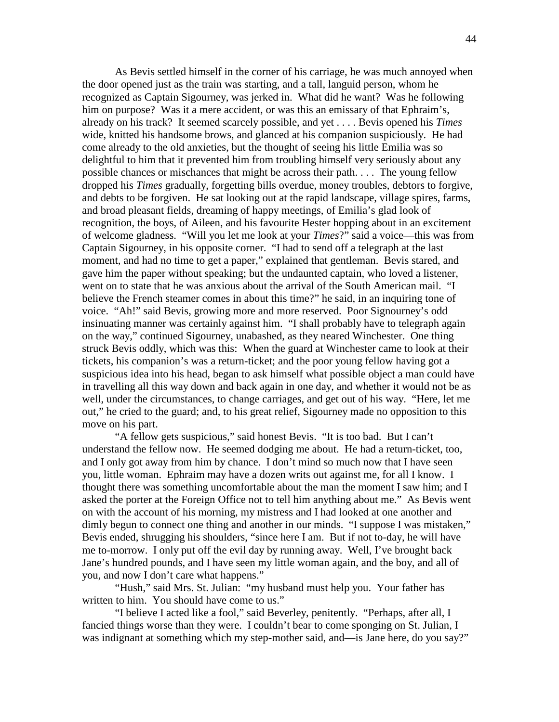As Bevis settled himself in the corner of his carriage, he was much annoyed when the door opened just as the train was starting, and a tall, languid person, whom he recognized as Captain Sigourney, was jerked in. What did he want? Was he following him on purpose? Was it a mere accident, or was this an emissary of that Ephraim's, already on his track? It seemed scarcely possible, and yet . . . . Bevis opened his *Times* wide, knitted his handsome brows, and glanced at his companion suspiciously. He had come already to the old anxieties, but the thought of seeing his little Emilia was so delightful to him that it prevented him from troubling himself very seriously about any possible chances or mischances that might be across their path. . . . The young fellow dropped his *Times* gradually, forgetting bills overdue, money troubles, debtors to forgive, and debts to be forgiven. He sat looking out at the rapid landscape, village spires, farms, and broad pleasant fields, dreaming of happy meetings, of Emilia's glad look of recognition, the boys, of Aileen, and his favourite Hester hopping about in an excitement of welcome gladness. "Will you let me look at your *Times*?" said a voice—this was from Captain Sigourney, in his opposite corner. "I had to send off a telegraph at the last moment, and had no time to get a paper," explained that gentleman. Bevis stared, and gave him the paper without speaking; but the undaunted captain, who loved a listener, went on to state that he was anxious about the arrival of the South American mail. "I believe the French steamer comes in about this time?" he said, in an inquiring tone of voice. "Ah!" said Bevis, growing more and more reserved. Poor Signourney's odd insinuating manner was certainly against him. "I shall probably have to telegraph again on the way," continued Sigourney, unabashed, as they neared Winchester. One thing struck Bevis oddly, which was this: When the guard at Winchester came to look at their tickets, his companion's was a return-ticket; and the poor young fellow having got a suspicious idea into his head, began to ask himself what possible object a man could have in travelling all this way down and back again in one day, and whether it would not be as well, under the circumstances, to change carriages, and get out of his way. "Here, let me out," he cried to the guard; and, to his great relief, Sigourney made no opposition to this move on his part.

 "A fellow gets suspicious," said honest Bevis. "It is too bad. But I can't understand the fellow now. He seemed dodging me about. He had a return-ticket, too, and I only got away from him by chance. I don't mind so much now that I have seen you, little woman. Ephraim may have a dozen writs out against me, for all I know. I thought there was something uncomfortable about the man the moment I saw him; and I asked the porter at the Foreign Office not to tell him anything about me." As Bevis went on with the account of his morning, my mistress and I had looked at one another and dimly begun to connect one thing and another in our minds. "I suppose I was mistaken," Bevis ended, shrugging his shoulders, "since here I am. But if not to-day, he will have me to-morrow. I only put off the evil day by running away. Well, I've brought back Jane's hundred pounds, and I have seen my little woman again, and the boy, and all of you, and now I don't care what happens."

 "Hush," said Mrs. St. Julian: "my husband must help you. Your father has written to him. You should have come to us."

 "I believe I acted like a fool," said Beverley, penitently. "Perhaps, after all, I fancied things worse than they were. I couldn't bear to come sponging on St. Julian, I was indignant at something which my step-mother said, and—is Jane here, do you say?"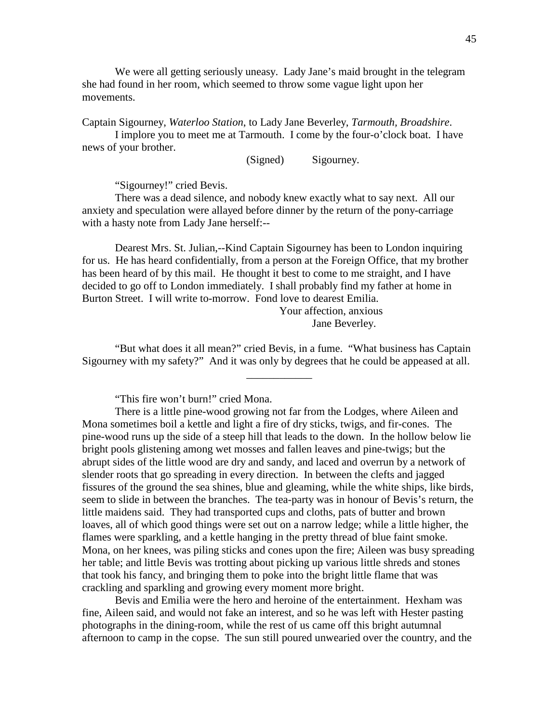We were all getting seriously uneasy. Lady Jane's maid brought in the telegram she had found in her room, which seemed to throw some vague light upon her movements.

Captain Sigourney, *Waterloo Station*, to Lady Jane Beverley, *Tarmouth, Broadshire*.

 I implore you to meet me at Tarmouth. I come by the four-o'clock boat. I have news of your brother.

(Signed) Sigourney.

"Sigourney!" cried Bevis.

 There was a dead silence, and nobody knew exactly what to say next. All our anxiety and speculation were allayed before dinner by the return of the pony-carriage with a hasty note from Lady Jane herself:--

 Dearest Mrs. St. Julian,--Kind Captain Sigourney has been to London inquiring for us. He has heard confidentially, from a person at the Foreign Office, that my brother has been heard of by this mail. He thought it best to come to me straight, and I have decided to go off to London immediately. I shall probably find my father at home in Burton Street. I will write to-morrow. Fond love to dearest Emilia.

 Your affection, anxious Jane Beverley.

 "But what does it all mean?" cried Bevis, in a fume. "What business has Captain Sigourney with my safety?" And it was only by degrees that he could be appeased at all.

\_\_\_\_\_\_\_\_\_\_\_\_

"This fire won't burn!" cried Mona.

 Bevis and Emilia were the hero and heroine of the entertainment. Hexham was fine, Aileen said, and would not fake an interest, and so he was left with Hester pasting photographs in the dining-room, while the rest of us came off this bright autumnal afternoon to camp in the copse. The sun still poured unwearied over the country, and the

There is a little pine-wood growing not far from the Lodges, where Aileen and Mona sometimes boil a kettle and light a fire of dry sticks, twigs, and fir-cones. The pine-wood runs up the side of a steep hill that leads to the down. In the hollow below lie bright pools glistening among wet mosses and fallen leaves and pine-twigs; but the abrupt sides of the little wood are dry and sandy, and laced and overrun by a network of slender roots that go spreading in every direction. In between the clefts and jagged fissures of the ground the sea shines, blue and gleaming, while the white ships, like birds, seem to slide in between the branches. The tea-party was in honour of Bevis's return, the little maidens said. They had transported cups and cloths, pats of butter and brown loaves, all of which good things were set out on a narrow ledge; while a little higher, the flames were sparkling, and a kettle hanging in the pretty thread of blue faint smoke. Mona, on her knees, was piling sticks and cones upon the fire; Aileen was busy spreading her table; and little Bevis was trotting about picking up various little shreds and stones that took his fancy, and bringing them to poke into the bright little flame that was crackling and sparkling and growing every moment more bright.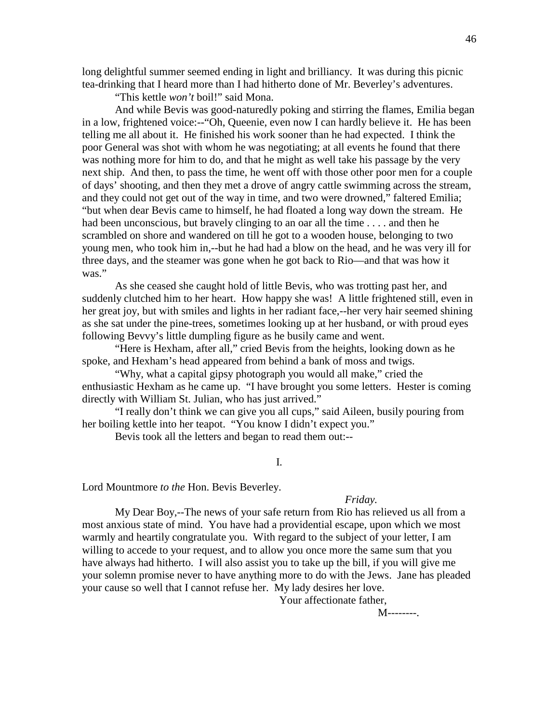long delightful summer seemed ending in light and brilliancy. It was during this picnic tea-drinking that I heard more than I had hitherto done of Mr. Beverley's adventures.

"This kettle *won't* boil!" said Mona.

 And while Bevis was good-naturedly poking and stirring the flames, Emilia began in a low, frightened voice:--"Oh, Queenie, even now I can hardly believe it. He has been telling me all about it. He finished his work sooner than he had expected. I think the poor General was shot with whom he was negotiating; at all events he found that there was nothing more for him to do, and that he might as well take his passage by the very next ship. And then, to pass the time, he went off with those other poor men for a couple of days' shooting, and then they met a drove of angry cattle swimming across the stream, and they could not get out of the way in time, and two were drowned," faltered Emilia; "but when dear Bevis came to himself, he had floated a long way down the stream. He had been unconscious, but bravely clinging to an oar all the time . . . . and then he scrambled on shore and wandered on till he got to a wooden house, belonging to two young men, who took him in,--but he had had a blow on the head, and he was very ill for three days, and the steamer was gone when he got back to Rio—and that was how it was."

 As she ceased she caught hold of little Bevis, who was trotting past her, and suddenly clutched him to her heart. How happy she was! A little frightened still, even in her great joy, but with smiles and lights in her radiant face,--her very hair seemed shining as she sat under the pine-trees, sometimes looking up at her husband, or with proud eyes following Bevvy's little dumpling figure as he busily came and went.

 "Here is Hexham, after all," cried Bevis from the heights, looking down as he spoke, and Hexham's head appeared from behind a bank of moss and twigs.

 "Why, what a capital gipsy photograph you would all make," cried the enthusiastic Hexham as he came up. "I have brought you some letters. Hester is coming directly with William St. Julian, who has just arrived."

 "I really don't think we can give you all cups," said Aileen, busily pouring from her boiling kettle into her teapot. "You know I didn't expect you."

Bevis took all the letters and began to read them out:--

I.

Lord Mountmore *to the* Hon. Bevis Beverley.

## *Friday.*

 My Dear Boy,--The news of your safe return from Rio has relieved us all from a most anxious state of mind. You have had a providential escape, upon which we most warmly and heartily congratulate you. With regard to the subject of your letter, I am willing to accede to your request, and to allow you once more the same sum that you have always had hitherto. I will also assist you to take up the bill, if you will give me your solemn promise never to have anything more to do with the Jews. Jane has pleaded your cause so well that I cannot refuse her. My lady desires her love.

Your affectionate father,

**M--------.**